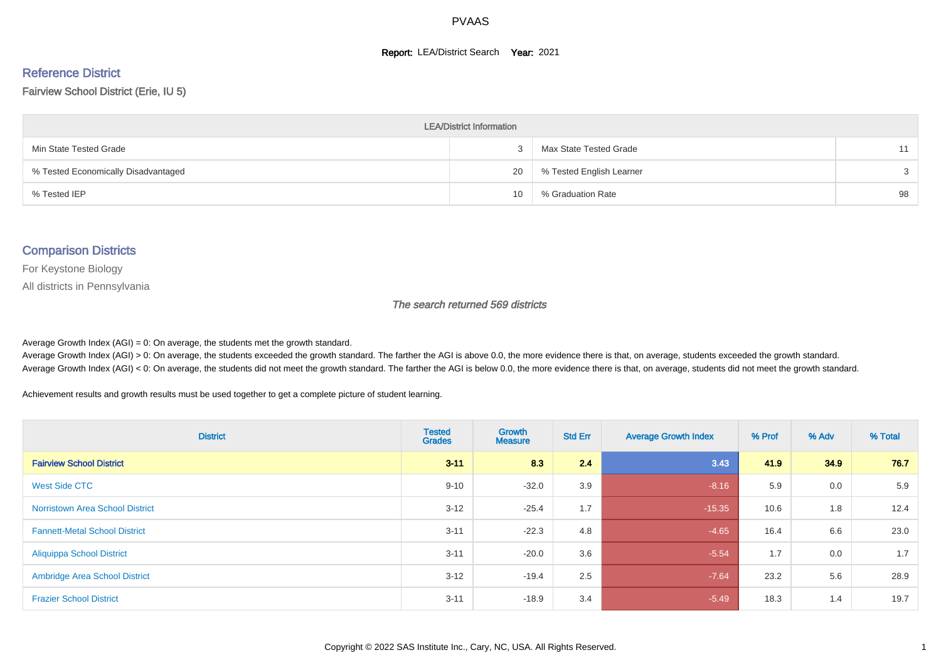#### **Report: LEA/District Search Year: 2021**

# Reference District

#### Fairview School District (Erie, IU 5)

| <b>LEA/District Information</b>     |    |                          |    |  |  |  |  |  |  |  |
|-------------------------------------|----|--------------------------|----|--|--|--|--|--|--|--|
| Min State Tested Grade              |    | Max State Tested Grade   | 11 |  |  |  |  |  |  |  |
| % Tested Economically Disadvantaged | 20 | % Tested English Learner | 3  |  |  |  |  |  |  |  |
| % Tested IEP                        | 10 | % Graduation Rate        | 98 |  |  |  |  |  |  |  |

#### Comparison Districts

For Keystone Biology

All districts in Pennsylvania

The search returned 569 districts

Average Growth Index  $(AGI) = 0$ : On average, the students met the growth standard.

Average Growth Index (AGI) > 0: On average, the students exceeded the growth standard. The farther the AGI is above 0.0, the more evidence there is that, on average, students exceeded the growth standard. Average Growth Index (AGI) < 0: On average, the students did not meet the growth standard. The farther the AGI is below 0.0, the more evidence there is that, on average, students did not meet the growth standard.

Achievement results and growth results must be used together to get a complete picture of student learning.

| <b>District</b>                        | <b>Tested</b><br><b>Grades</b> | Growth<br><b>Measure</b> | <b>Std Err</b> | <b>Average Growth Index</b> | % Prof | % Adv | % Total |
|----------------------------------------|--------------------------------|--------------------------|----------------|-----------------------------|--------|-------|---------|
| <b>Fairview School District</b>        | $3 - 11$                       | 8.3                      | 2.4            | 3.43                        | 41.9   | 34.9  | 76.7    |
| West Side CTC                          | $9 - 10$                       | $-32.0$                  | 3.9            | $-8.16$                     | 5.9    | 0.0   | 5.9     |
| <b>Norristown Area School District</b> | $3 - 12$                       | $-25.4$                  | 1.7            | $-15.35$                    | 10.6   | 1.8   | 12.4    |
| <b>Fannett-Metal School District</b>   | $3 - 11$                       | $-22.3$                  | 4.8            | $-4.65$                     | 16.4   | 6.6   | 23.0    |
| <b>Aliquippa School District</b>       | $3 - 11$                       | $-20.0$                  | 3.6            | $-5.54$                     | 1.7    | 0.0   | 1.7     |
| <b>Ambridge Area School District</b>   | $3 - 12$                       | $-19.4$                  | 2.5            | $-7.64$                     | 23.2   | 5.6   | 28.9    |
| <b>Frazier School District</b>         | $3 - 11$                       | $-18.9$                  | 3.4            | $-5.49$                     | 18.3   | 1.4   | 19.7    |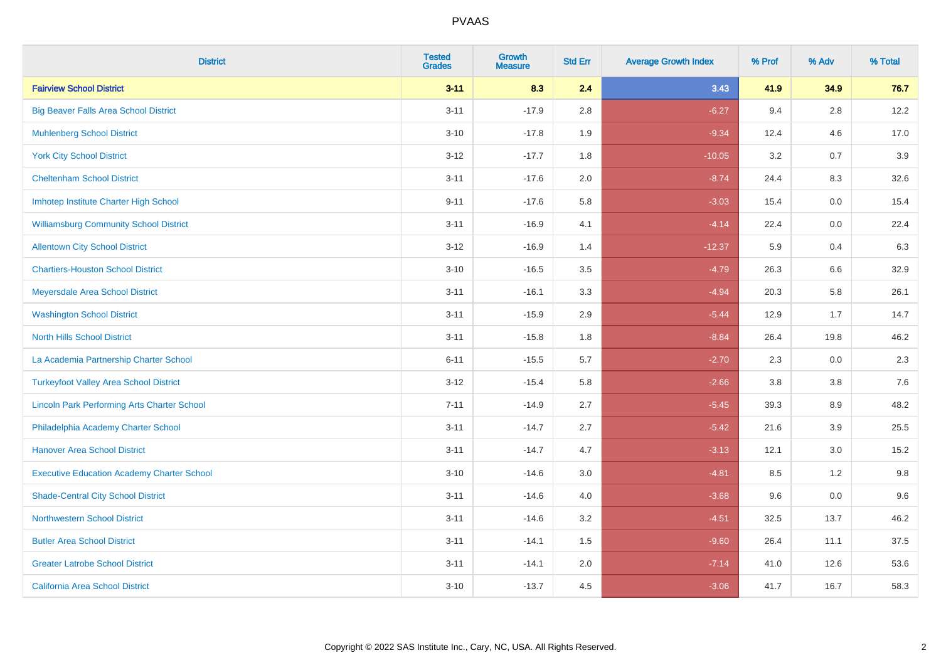| <b>District</b>                                    | <b>Tested</b><br><b>Grades</b> | <b>Growth</b><br><b>Measure</b> | <b>Std Err</b> | <b>Average Growth Index</b> | % Prof | % Adv   | % Total |
|----------------------------------------------------|--------------------------------|---------------------------------|----------------|-----------------------------|--------|---------|---------|
| <b>Fairview School District</b>                    | $3 - 11$                       | 8.3                             | 2.4            | 3.43                        | 41.9   | 34.9    | 76.7    |
| <b>Big Beaver Falls Area School District</b>       | $3 - 11$                       | $-17.9$                         | 2.8            | $-6.27$                     | 9.4    | 2.8     | 12.2    |
| <b>Muhlenberg School District</b>                  | $3 - 10$                       | $-17.8$                         | 1.9            | $-9.34$                     | 12.4   | 4.6     | 17.0    |
| <b>York City School District</b>                   | $3 - 12$                       | $-17.7$                         | 1.8            | $-10.05$                    | 3.2    | 0.7     | 3.9     |
| <b>Cheltenham School District</b>                  | $3 - 11$                       | $-17.6$                         | 2.0            | $-8.74$                     | 24.4   | 8.3     | 32.6    |
| Imhotep Institute Charter High School              | $9 - 11$                       | $-17.6$                         | 5.8            | $-3.03$                     | 15.4   | 0.0     | 15.4    |
| <b>Williamsburg Community School District</b>      | $3 - 11$                       | $-16.9$                         | 4.1            | $-4.14$                     | 22.4   | $0.0\,$ | 22.4    |
| <b>Allentown City School District</b>              | $3 - 12$                       | $-16.9$                         | 1.4            | $-12.37$                    | 5.9    | 0.4     | 6.3     |
| <b>Chartiers-Houston School District</b>           | $3 - 10$                       | $-16.5$                         | 3.5            | $-4.79$                     | 26.3   | 6.6     | 32.9    |
| Meyersdale Area School District                    | $3 - 11$                       | $-16.1$                         | 3.3            | $-4.94$                     | 20.3   | 5.8     | 26.1    |
| <b>Washington School District</b>                  | $3 - 11$                       | $-15.9$                         | 2.9            | $-5.44$                     | 12.9   | 1.7     | 14.7    |
| <b>North Hills School District</b>                 | $3 - 11$                       | $-15.8$                         | 1.8            | $-8.84$                     | 26.4   | 19.8    | 46.2    |
| La Academia Partnership Charter School             | $6 - 11$                       | $-15.5$                         | 5.7            | $-2.70$                     | 2.3    | 0.0     | 2.3     |
| <b>Turkeyfoot Valley Area School District</b>      | $3-12$                         | $-15.4$                         | 5.8            | $-2.66$                     | 3.8    | $3.8\,$ | 7.6     |
| <b>Lincoln Park Performing Arts Charter School</b> | $7 - 11$                       | $-14.9$                         | 2.7            | $-5.45$                     | 39.3   | 8.9     | 48.2    |
| Philadelphia Academy Charter School                | $3 - 11$                       | $-14.7$                         | 2.7            | $-5.42$                     | 21.6   | 3.9     | 25.5    |
| <b>Hanover Area School District</b>                | $3 - 11$                       | $-14.7$                         | 4.7            | $-3.13$                     | 12.1   | 3.0     | 15.2    |
| <b>Executive Education Academy Charter School</b>  | $3 - 10$                       | $-14.6$                         | 3.0            | $-4.81$                     | 8.5    | 1.2     | 9.8     |
| <b>Shade-Central City School District</b>          | $3 - 11$                       | $-14.6$                         | 4.0            | $-3.68$                     | 9.6    | 0.0     | 9.6     |
| <b>Northwestern School District</b>                | $3 - 11$                       | $-14.6$                         | 3.2            | $-4.51$                     | 32.5   | 13.7    | 46.2    |
| <b>Butler Area School District</b>                 | $3 - 11$                       | $-14.1$                         | 1.5            | $-9.60$                     | 26.4   | 11.1    | 37.5    |
| <b>Greater Latrobe School District</b>             | $3 - 11$                       | $-14.1$                         | 2.0            | $-7.14$                     | 41.0   | 12.6    | 53.6    |
| <b>California Area School District</b>             | $3 - 10$                       | $-13.7$                         | 4.5            | $-3.06$                     | 41.7   | 16.7    | 58.3    |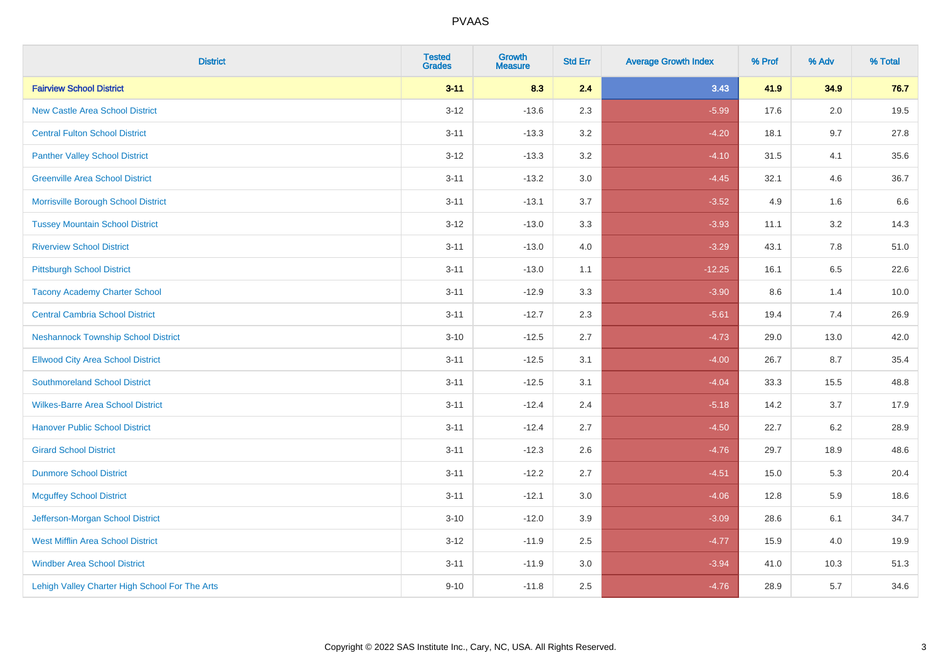| <b>District</b>                                | <b>Tested</b><br><b>Grades</b> | <b>Growth</b><br><b>Measure</b> | <b>Std Err</b> | <b>Average Growth Index</b> | % Prof | % Adv   | % Total |
|------------------------------------------------|--------------------------------|---------------------------------|----------------|-----------------------------|--------|---------|---------|
| <b>Fairview School District</b>                | $3 - 11$                       | 8.3                             | 2.4            | 3.43                        | 41.9   | 34.9    | 76.7    |
| <b>New Castle Area School District</b>         | $3 - 12$                       | $-13.6$                         | 2.3            | $-5.99$                     | 17.6   | 2.0     | 19.5    |
| <b>Central Fulton School District</b>          | $3 - 11$                       | $-13.3$                         | 3.2            | $-4.20$                     | 18.1   | 9.7     | 27.8    |
| <b>Panther Valley School District</b>          | $3 - 12$                       | $-13.3$                         | $3.2\,$        | $-4.10$                     | 31.5   | 4.1     | 35.6    |
| <b>Greenville Area School District</b>         | $3 - 11$                       | $-13.2$                         | 3.0            | $-4.45$                     | 32.1   | 4.6     | 36.7    |
| Morrisville Borough School District            | $3 - 11$                       | $-13.1$                         | 3.7            | $-3.52$                     | 4.9    | 1.6     | 6.6     |
| <b>Tussey Mountain School District</b>         | $3 - 12$                       | $-13.0$                         | 3.3            | $-3.93$                     | 11.1   | $3.2\,$ | 14.3    |
| <b>Riverview School District</b>               | $3 - 11$                       | $-13.0$                         | 4.0            | $-3.29$                     | 43.1   | 7.8     | 51.0    |
| <b>Pittsburgh School District</b>              | $3 - 11$                       | $-13.0$                         | 1.1            | $-12.25$                    | 16.1   | 6.5     | 22.6    |
| <b>Tacony Academy Charter School</b>           | $3 - 11$                       | $-12.9$                         | 3.3            | $-3.90$                     | 8.6    | 1.4     | 10.0    |
| <b>Central Cambria School District</b>         | $3 - 11$                       | $-12.7$                         | 2.3            | $-5.61$                     | 19.4   | 7.4     | 26.9    |
| <b>Neshannock Township School District</b>     | $3 - 10$                       | $-12.5$                         | 2.7            | $-4.73$                     | 29.0   | 13.0    | 42.0    |
| <b>Ellwood City Area School District</b>       | $3 - 11$                       | $-12.5$                         | 3.1            | $-4.00$                     | 26.7   | 8.7     | 35.4    |
| <b>Southmoreland School District</b>           | $3 - 11$                       | $-12.5$                         | 3.1            | $-4.04$                     | 33.3   | 15.5    | 48.8    |
| <b>Wilkes-Barre Area School District</b>       | $3 - 11$                       | $-12.4$                         | 2.4            | $-5.18$                     | 14.2   | 3.7     | 17.9    |
| <b>Hanover Public School District</b>          | $3 - 11$                       | $-12.4$                         | 2.7            | $-4.50$                     | 22.7   | 6.2     | 28.9    |
| <b>Girard School District</b>                  | $3 - 11$                       | $-12.3$                         | 2.6            | $-4.76$                     | 29.7   | 18.9    | 48.6    |
| <b>Dunmore School District</b>                 | $3 - 11$                       | $-12.2$                         | 2.7            | $-4.51$                     | 15.0   | 5.3     | 20.4    |
| <b>Mcguffey School District</b>                | $3 - 11$                       | $-12.1$                         | 3.0            | $-4.06$                     | 12.8   | 5.9     | 18.6    |
| Jefferson-Morgan School District               | $3 - 10$                       | $-12.0$                         | 3.9            | $-3.09$                     | 28.6   | 6.1     | 34.7    |
| <b>West Mifflin Area School District</b>       | $3 - 12$                       | $-11.9$                         | 2.5            | $-4.77$                     | 15.9   | 4.0     | 19.9    |
| <b>Windber Area School District</b>            | $3 - 11$                       | $-11.9$                         | 3.0            | $-3.94$                     | 41.0   | 10.3    | 51.3    |
| Lehigh Valley Charter High School For The Arts | $9 - 10$                       | $-11.8$                         | 2.5            | $-4.76$                     | 28.9   | 5.7     | 34.6    |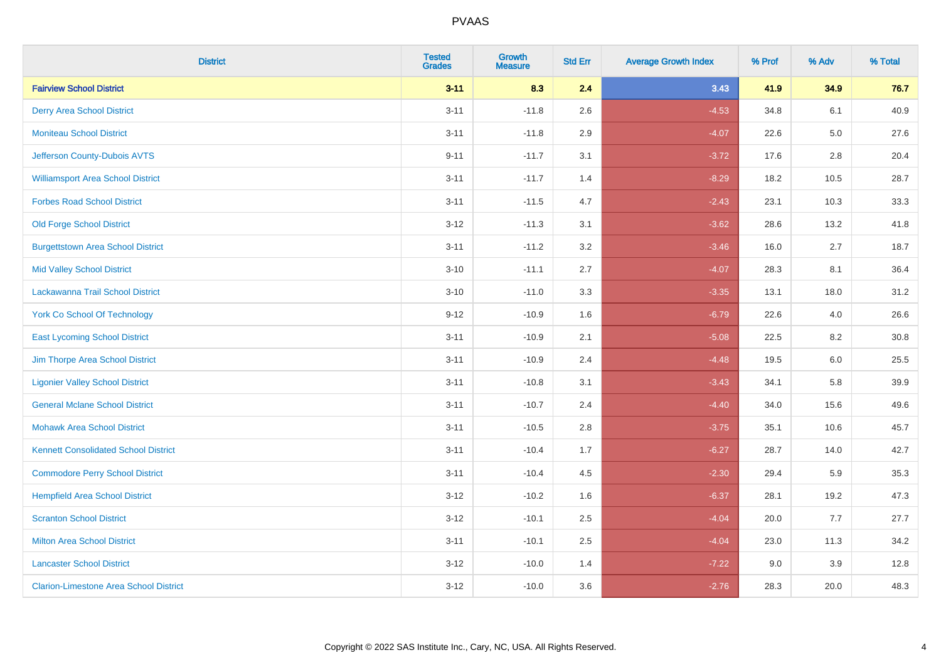| <b>District</b>                               | <b>Tested</b><br><b>Grades</b> | <b>Growth</b><br><b>Measure</b> | <b>Std Err</b> | <b>Average Growth Index</b> | % Prof | % Adv   | % Total |
|-----------------------------------------------|--------------------------------|---------------------------------|----------------|-----------------------------|--------|---------|---------|
| <b>Fairview School District</b>               | $3 - 11$                       | 8.3                             | 2.4            | 3.43                        | 41.9   | 34.9    | 76.7    |
| <b>Derry Area School District</b>             | $3 - 11$                       | $-11.8$                         | 2.6            | $-4.53$                     | 34.8   | 6.1     | 40.9    |
| <b>Moniteau School District</b>               | $3 - 11$                       | $-11.8$                         | 2.9            | $-4.07$                     | 22.6   | $5.0\,$ | 27.6    |
| Jefferson County-Dubois AVTS                  | $9 - 11$                       | $-11.7$                         | 3.1            | $-3.72$                     | 17.6   | $2.8\,$ | 20.4    |
| <b>Williamsport Area School District</b>      | $3 - 11$                       | $-11.7$                         | 1.4            | $-8.29$                     | 18.2   | 10.5    | 28.7    |
| <b>Forbes Road School District</b>            | $3 - 11$                       | $-11.5$                         | 4.7            | $-2.43$                     | 23.1   | 10.3    | 33.3    |
| <b>Old Forge School District</b>              | $3 - 12$                       | $-11.3$                         | 3.1            | $-3.62$                     | 28.6   | 13.2    | 41.8    |
| <b>Burgettstown Area School District</b>      | $3 - 11$                       | $-11.2$                         | 3.2            | $-3.46$                     | 16.0   | 2.7     | 18.7    |
| <b>Mid Valley School District</b>             | $3 - 10$                       | $-11.1$                         | 2.7            | $-4.07$                     | 28.3   | 8.1     | 36.4    |
| Lackawanna Trail School District              | $3 - 10$                       | $-11.0$                         | 3.3            | $-3.35$                     | 13.1   | 18.0    | 31.2    |
| <b>York Co School Of Technology</b>           | $9 - 12$                       | $-10.9$                         | 1.6            | $-6.79$                     | 22.6   | 4.0     | 26.6    |
| <b>East Lycoming School District</b>          | $3 - 11$                       | $-10.9$                         | 2.1            | $-5.08$                     | 22.5   | 8.2     | 30.8    |
| Jim Thorpe Area School District               | $3 - 11$                       | $-10.9$                         | 2.4            | $-4.48$                     | 19.5   | 6.0     | 25.5    |
| <b>Ligonier Valley School District</b>        | $3 - 11$                       | $-10.8$                         | 3.1            | $-3.43$                     | 34.1   | 5.8     | 39.9    |
| <b>General Mclane School District</b>         | $3 - 11$                       | $-10.7$                         | 2.4            | $-4.40$                     | 34.0   | 15.6    | 49.6    |
| <b>Mohawk Area School District</b>            | $3 - 11$                       | $-10.5$                         | 2.8            | $-3.75$                     | 35.1   | 10.6    | 45.7    |
| <b>Kennett Consolidated School District</b>   | $3 - 11$                       | $-10.4$                         | 1.7            | $-6.27$                     | 28.7   | 14.0    | 42.7    |
| <b>Commodore Perry School District</b>        | $3 - 11$                       | $-10.4$                         | 4.5            | $-2.30$                     | 29.4   | 5.9     | 35.3    |
| <b>Hempfield Area School District</b>         | $3 - 12$                       | $-10.2$                         | 1.6            | $-6.37$                     | 28.1   | 19.2    | 47.3    |
| <b>Scranton School District</b>               | $3 - 12$                       | $-10.1$                         | 2.5            | $-4.04$                     | 20.0   | 7.7     | 27.7    |
| <b>Milton Area School District</b>            | $3 - 11$                       | $-10.1$                         | 2.5            | $-4.04$                     | 23.0   | 11.3    | 34.2    |
| <b>Lancaster School District</b>              | $3 - 12$                       | $-10.0$                         | 1.4            | $-7.22$                     | 9.0    | 3.9     | 12.8    |
| <b>Clarion-Limestone Area School District</b> | $3 - 12$                       | $-10.0$                         | 3.6            | $-2.76$                     | 28.3   | 20.0    | 48.3    |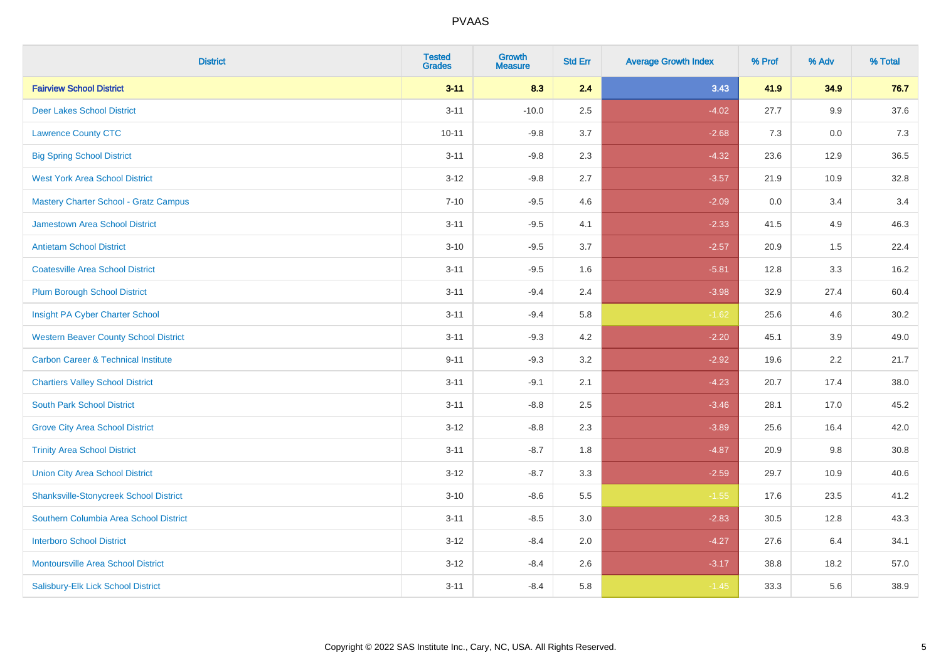| <b>District</b>                                | <b>Tested</b><br><b>Grades</b> | <b>Growth</b><br><b>Measure</b> | <b>Std Err</b> | <b>Average Growth Index</b> | % Prof | % Adv | % Total |
|------------------------------------------------|--------------------------------|---------------------------------|----------------|-----------------------------|--------|-------|---------|
| <b>Fairview School District</b>                | $3 - 11$                       | 8.3                             | 2.4            | 3.43                        | 41.9   | 34.9  | 76.7    |
| <b>Deer Lakes School District</b>              | $3 - 11$                       | $-10.0$                         | 2.5            | $-4.02$                     | 27.7   | 9.9   | 37.6    |
| <b>Lawrence County CTC</b>                     | $10 - 11$                      | $-9.8$                          | 3.7            | $-2.68$                     | 7.3    | 0.0   | 7.3     |
| <b>Big Spring School District</b>              | $3 - 11$                       | $-9.8$                          | 2.3            | $-4.32$                     | 23.6   | 12.9  | 36.5    |
| <b>West York Area School District</b>          | $3 - 12$                       | $-9.8$                          | 2.7            | $-3.57$                     | 21.9   | 10.9  | 32.8    |
| <b>Mastery Charter School - Gratz Campus</b>   | $7 - 10$                       | $-9.5$                          | 4.6            | $-2.09$                     | 0.0    | 3.4   | 3.4     |
| Jamestown Area School District                 | $3 - 11$                       | $-9.5$                          | 4.1            | $-2.33$                     | 41.5   | 4.9   | 46.3    |
| <b>Antietam School District</b>                | $3 - 10$                       | $-9.5$                          | 3.7            | $-2.57$                     | 20.9   | 1.5   | 22.4    |
| <b>Coatesville Area School District</b>        | $3 - 11$                       | $-9.5$                          | 1.6            | $-5.81$                     | 12.8   | 3.3   | 16.2    |
| <b>Plum Borough School District</b>            | $3 - 11$                       | $-9.4$                          | 2.4            | $-3.98$                     | 32.9   | 27.4  | 60.4    |
| Insight PA Cyber Charter School                | $3 - 11$                       | $-9.4$                          | 5.8            | $-1.62$                     | 25.6   | 4.6   | 30.2    |
| <b>Western Beaver County School District</b>   | $3 - 11$                       | $-9.3$                          | 4.2            | $-2.20$                     | 45.1   | 3.9   | 49.0    |
| <b>Carbon Career &amp; Technical Institute</b> | $9 - 11$                       | $-9.3$                          | 3.2            | $-2.92$                     | 19.6   | 2.2   | 21.7    |
| <b>Chartiers Valley School District</b>        | $3 - 11$                       | $-9.1$                          | 2.1            | $-4.23$                     | 20.7   | 17.4  | 38.0    |
| <b>South Park School District</b>              | $3 - 11$                       | $-8.8$                          | 2.5            | $-3.46$                     | 28.1   | 17.0  | 45.2    |
| <b>Grove City Area School District</b>         | $3 - 12$                       | $-8.8$                          | 2.3            | $-3.89$                     | 25.6   | 16.4  | 42.0    |
| <b>Trinity Area School District</b>            | $3 - 11$                       | $-8.7$                          | 1.8            | $-4.87$                     | 20.9   | 9.8   | 30.8    |
| <b>Union City Area School District</b>         | $3 - 12$                       | $-8.7$                          | 3.3            | $-2.59$                     | 29.7   | 10.9  | 40.6    |
| <b>Shanksville-Stonycreek School District</b>  | $3 - 10$                       | $-8.6$                          | 5.5            | $-1.55$                     | 17.6   | 23.5  | 41.2    |
| Southern Columbia Area School District         | $3 - 11$                       | $-8.5$                          | 3.0            | $-2.83$                     | 30.5   | 12.8  | 43.3    |
| <b>Interboro School District</b>               | $3 - 12$                       | $-8.4$                          | 2.0            | $-4.27$                     | 27.6   | 6.4   | 34.1    |
| <b>Montoursville Area School District</b>      | $3 - 12$                       | $-8.4$                          | 2.6            | $-3.17$                     | 38.8   | 18.2  | 57.0    |
| Salisbury-Elk Lick School District             | $3 - 11$                       | $-8.4$                          | 5.8            | $-1.45$                     | 33.3   | 5.6   | 38.9    |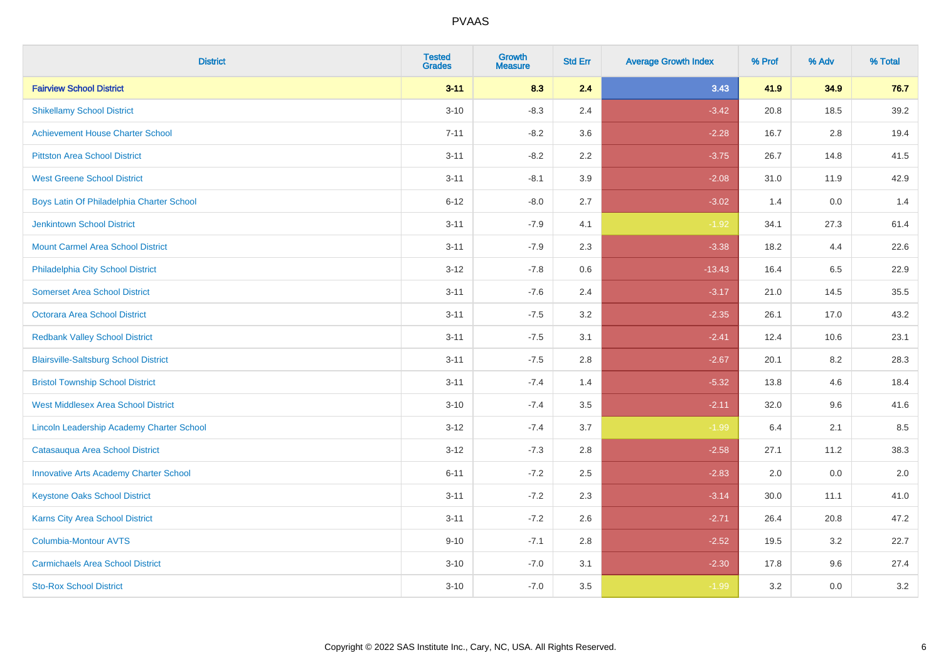| <b>District</b>                               | <b>Tested</b><br><b>Grades</b> | <b>Growth</b><br><b>Measure</b> | <b>Std Err</b> | <b>Average Growth Index</b> | % Prof | % Adv | % Total |
|-----------------------------------------------|--------------------------------|---------------------------------|----------------|-----------------------------|--------|-------|---------|
| <b>Fairview School District</b>               | $3 - 11$                       | 8.3                             | 2.4            | 3.43                        | 41.9   | 34.9  | 76.7    |
| <b>Shikellamy School District</b>             | $3 - 10$                       | $-8.3$                          | 2.4            | $-3.42$                     | 20.8   | 18.5  | 39.2    |
| <b>Achievement House Charter School</b>       | $7 - 11$                       | $-8.2$                          | 3.6            | $-2.28$                     | 16.7   | 2.8   | 19.4    |
| <b>Pittston Area School District</b>          | $3 - 11$                       | $-8.2$                          | 2.2            | $-3.75$                     | 26.7   | 14.8  | 41.5    |
| <b>West Greene School District</b>            | $3 - 11$                       | $-8.1$                          | 3.9            | $-2.08$                     | 31.0   | 11.9  | 42.9    |
| Boys Latin Of Philadelphia Charter School     | $6 - 12$                       | $-8.0$                          | 2.7            | $-3.02$                     | 1.4    | 0.0   | 1.4     |
| Jenkintown School District                    | $3 - 11$                       | $-7.9$                          | 4.1            | $-1.92$                     | 34.1   | 27.3  | 61.4    |
| <b>Mount Carmel Area School District</b>      | $3 - 11$                       | $-7.9$                          | 2.3            | $-3.38$                     | 18.2   | 4.4   | 22.6    |
| Philadelphia City School District             | $3 - 12$                       | $-7.8$                          | 0.6            | $-13.43$                    | 16.4   | 6.5   | 22.9    |
| <b>Somerset Area School District</b>          | $3 - 11$                       | $-7.6$                          | 2.4            | $-3.17$                     | 21.0   | 14.5  | 35.5    |
| <b>Octorara Area School District</b>          | $3 - 11$                       | $-7.5$                          | 3.2            | $-2.35$                     | 26.1   | 17.0  | 43.2    |
| <b>Redbank Valley School District</b>         | $3 - 11$                       | $-7.5$                          | 3.1            | $-2.41$                     | 12.4   | 10.6  | 23.1    |
| <b>Blairsville-Saltsburg School District</b>  | $3 - 11$                       | $-7.5$                          | 2.8            | $-2.67$                     | 20.1   | 8.2   | 28.3    |
| <b>Bristol Township School District</b>       | $3 - 11$                       | $-7.4$                          | 1.4            | $-5.32$                     | 13.8   | 4.6   | 18.4    |
| <b>West Middlesex Area School District</b>    | $3 - 10$                       | $-7.4$                          | 3.5            | $-2.11$                     | 32.0   | 9.6   | 41.6    |
| Lincoln Leadership Academy Charter School     | $3 - 12$                       | $-7.4$                          | 3.7            | $-1.99$                     | 6.4    | 2.1   | 8.5     |
| Catasauqua Area School District               | $3 - 12$                       | $-7.3$                          | 2.8            | $-2.58$                     | 27.1   | 11.2  | 38.3    |
| <b>Innovative Arts Academy Charter School</b> | $6 - 11$                       | $-7.2$                          | 2.5            | $-2.83$                     | 2.0    | 0.0   | $2.0\,$ |
| <b>Keystone Oaks School District</b>          | $3 - 11$                       | $-7.2$                          | 2.3            | $-3.14$                     | 30.0   | 11.1  | 41.0    |
| <b>Karns City Area School District</b>        | $3 - 11$                       | $-7.2$                          | 2.6            | $-2.71$                     | 26.4   | 20.8  | 47.2    |
| Columbia-Montour AVTS                         | $9 - 10$                       | $-7.1$                          | 2.8            | $-2.52$                     | 19.5   | 3.2   | 22.7    |
| <b>Carmichaels Area School District</b>       | $3 - 10$                       | $-7.0$                          | 3.1            | $-2.30$                     | 17.8   | 9.6   | 27.4    |
| <b>Sto-Rox School District</b>                | $3 - 10$                       | $-7.0$                          | 3.5            | $-1.99$                     | 3.2    | 0.0   | 3.2     |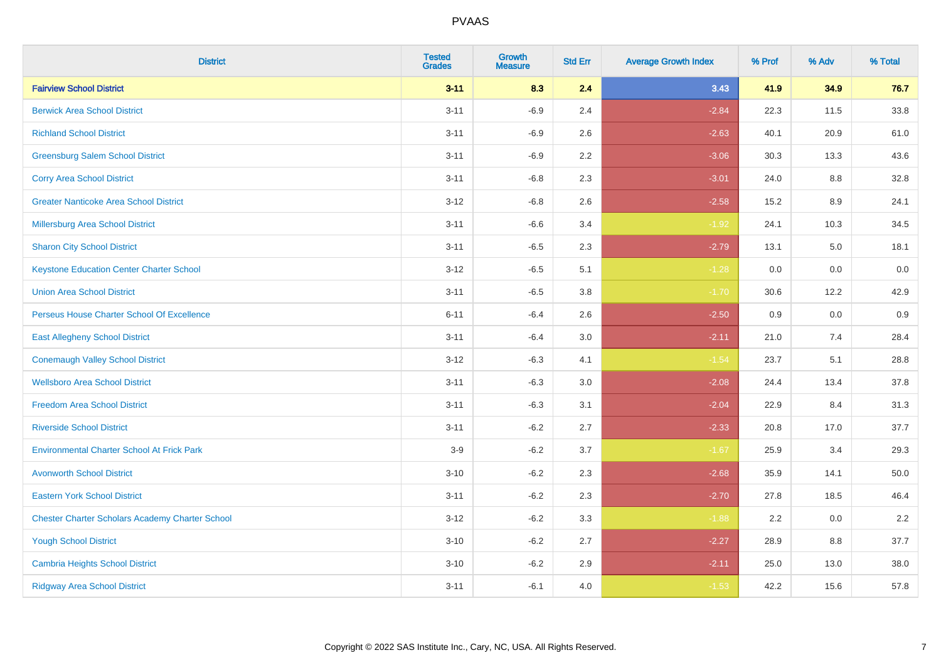| <b>District</b>                                        | <b>Tested</b><br><b>Grades</b> | <b>Growth</b><br><b>Measure</b> | <b>Std Err</b> | <b>Average Growth Index</b> | % Prof | % Adv | % Total |
|--------------------------------------------------------|--------------------------------|---------------------------------|----------------|-----------------------------|--------|-------|---------|
| <b>Fairview School District</b>                        | $3 - 11$                       | 8.3                             | 2.4            | 3.43                        | 41.9   | 34.9  | 76.7    |
| <b>Berwick Area School District</b>                    | $3 - 11$                       | $-6.9$                          | 2.4            | $-2.84$                     | 22.3   | 11.5  | 33.8    |
| <b>Richland School District</b>                        | $3 - 11$                       | $-6.9$                          | 2.6            | $-2.63$                     | 40.1   | 20.9  | 61.0    |
| <b>Greensburg Salem School District</b>                | $3 - 11$                       | $-6.9$                          | 2.2            | $-3.06$                     | 30.3   | 13.3  | 43.6    |
| <b>Corry Area School District</b>                      | $3 - 11$                       | $-6.8$                          | 2.3            | $-3.01$                     | 24.0   | 8.8   | 32.8    |
| <b>Greater Nanticoke Area School District</b>          | $3 - 12$                       | $-6.8$                          | 2.6            | $-2.58$                     | 15.2   | 8.9   | 24.1    |
| <b>Millersburg Area School District</b>                | $3 - 11$                       | $-6.6$                          | 3.4            | $-1.92$                     | 24.1   | 10.3  | 34.5    |
| <b>Sharon City School District</b>                     | $3 - 11$                       | $-6.5$                          | 2.3            | $-2.79$                     | 13.1   | 5.0   | 18.1    |
| <b>Keystone Education Center Charter School</b>        | $3 - 12$                       | $-6.5$                          | 5.1            | $-1.28$                     | 0.0    | 0.0   | 0.0     |
| <b>Union Area School District</b>                      | $3 - 11$                       | $-6.5$                          | 3.8            | $-1.70$                     | 30.6   | 12.2  | 42.9    |
| Perseus House Charter School Of Excellence             | $6 - 11$                       | $-6.4$                          | 2.6            | $-2.50$                     | 0.9    | 0.0   | 0.9     |
| <b>East Allegheny School District</b>                  | $3 - 11$                       | $-6.4$                          | 3.0            | $-2.11$                     | 21.0   | 7.4   | 28.4    |
| <b>Conemaugh Valley School District</b>                | $3 - 12$                       | $-6.3$                          | 4.1            | $-1.54$                     | 23.7   | 5.1   | 28.8    |
| <b>Wellsboro Area School District</b>                  | $3 - 11$                       | $-6.3$                          | 3.0            | $-2.08$                     | 24.4   | 13.4  | 37.8    |
| <b>Freedom Area School District</b>                    | $3 - 11$                       | $-6.3$                          | 3.1            | $-2.04$                     | 22.9   | 8.4   | 31.3    |
| <b>Riverside School District</b>                       | $3 - 11$                       | $-6.2$                          | 2.7            | $-2.33$                     | 20.8   | 17.0  | 37.7    |
| <b>Environmental Charter School At Frick Park</b>      | $3-9$                          | $-6.2$                          | 3.7            | $-1.67$                     | 25.9   | 3.4   | 29.3    |
| <b>Avonworth School District</b>                       | $3 - 10$                       | $-6.2$                          | 2.3            | $-2.68$                     | 35.9   | 14.1  | 50.0    |
| <b>Eastern York School District</b>                    | $3 - 11$                       | $-6.2$                          | 2.3            | $-2.70$                     | 27.8   | 18.5  | 46.4    |
| <b>Chester Charter Scholars Academy Charter School</b> | $3 - 12$                       | $-6.2$                          | 3.3            | $-1.88$                     | 2.2    | 0.0   | 2.2     |
| <b>Yough School District</b>                           | $3 - 10$                       | $-6.2$                          | 2.7            | $-2.27$                     | 28.9   | 8.8   | 37.7    |
| <b>Cambria Heights School District</b>                 | $3 - 10$                       | $-6.2$                          | 2.9            | $-2.11$                     | 25.0   | 13.0  | 38.0    |
| <b>Ridgway Area School District</b>                    | $3 - 11$                       | $-6.1$                          | 4.0            | $-1.53$                     | 42.2   | 15.6  | 57.8    |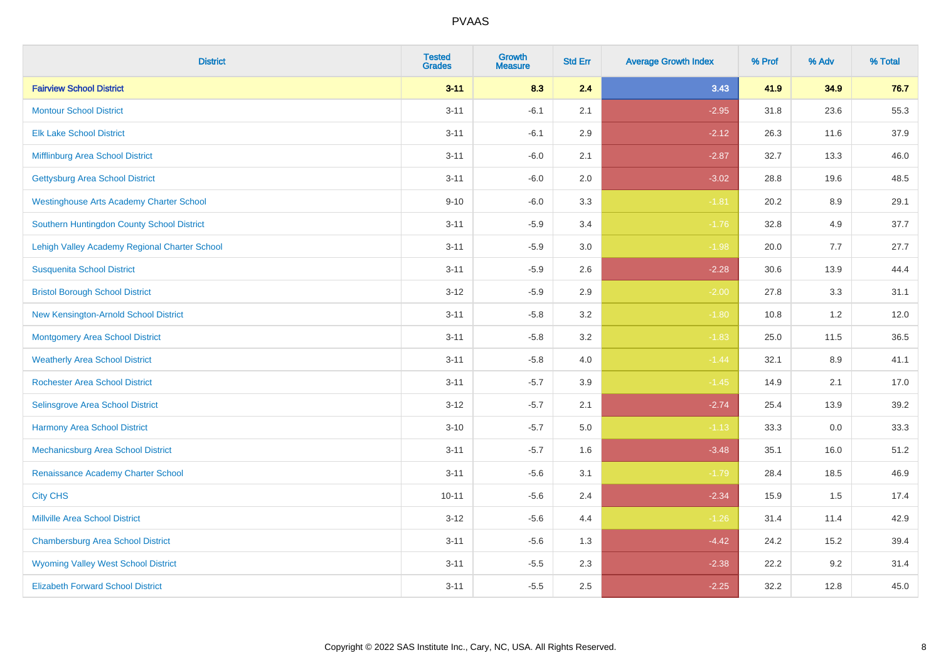| <b>District</b>                                 | <b>Tested</b><br><b>Grades</b> | <b>Growth</b><br><b>Measure</b> | <b>Std Err</b> | <b>Average Growth Index</b> | % Prof | % Adv   | % Total |
|-------------------------------------------------|--------------------------------|---------------------------------|----------------|-----------------------------|--------|---------|---------|
| <b>Fairview School District</b>                 | $3 - 11$                       | 8.3                             | 2.4            | 3.43                        | 41.9   | 34.9    | 76.7    |
| <b>Montour School District</b>                  | $3 - 11$                       | $-6.1$                          | 2.1            | $-2.95$                     | 31.8   | 23.6    | 55.3    |
| <b>Elk Lake School District</b>                 | $3 - 11$                       | $-6.1$                          | 2.9            | $-2.12$                     | 26.3   | 11.6    | 37.9    |
| Mifflinburg Area School District                | $3 - 11$                       | $-6.0$                          | 2.1            | $-2.87$                     | 32.7   | 13.3    | 46.0    |
| <b>Gettysburg Area School District</b>          | $3 - 11$                       | $-6.0$                          | 2.0            | $-3.02$                     | 28.8   | 19.6    | 48.5    |
| <b>Westinghouse Arts Academy Charter School</b> | $9 - 10$                       | $-6.0$                          | 3.3            | $-1.81$                     | 20.2   | 8.9     | 29.1    |
| Southern Huntingdon County School District      | $3 - 11$                       | $-5.9$                          | 3.4            | $-1.76$                     | 32.8   | 4.9     | 37.7    |
| Lehigh Valley Academy Regional Charter School   | $3 - 11$                       | $-5.9$                          | 3.0            | $-1.98$                     | 20.0   | 7.7     | 27.7    |
| <b>Susquenita School District</b>               | $3 - 11$                       | $-5.9$                          | 2.6            | $-2.28$                     | 30.6   | 13.9    | 44.4    |
| <b>Bristol Borough School District</b>          | $3 - 12$                       | $-5.9$                          | 2.9            | $-2.00$                     | 27.8   | 3.3     | 31.1    |
| New Kensington-Arnold School District           | $3 - 11$                       | $-5.8$                          | 3.2            | $-1.80$                     | 10.8   | 1.2     | 12.0    |
| <b>Montgomery Area School District</b>          | $3 - 11$                       | $-5.8$                          | 3.2            | $-1.83$                     | 25.0   | 11.5    | 36.5    |
| <b>Weatherly Area School District</b>           | $3 - 11$                       | $-5.8$                          | 4.0            | $-1.44$                     | 32.1   | $8.9\,$ | 41.1    |
| <b>Rochester Area School District</b>           | $3 - 11$                       | $-5.7$                          | 3.9            | $-1.45$                     | 14.9   | 2.1     | 17.0    |
| Selinsgrove Area School District                | $3 - 12$                       | $-5.7$                          | 2.1            | $-2.74$                     | 25.4   | 13.9    | 39.2    |
| Harmony Area School District                    | $3 - 10$                       | $-5.7$                          | $5.0\,$        | $-1.13$                     | 33.3   | $0.0\,$ | 33.3    |
| <b>Mechanicsburg Area School District</b>       | $3 - 11$                       | $-5.7$                          | 1.6            | $-3.48$                     | 35.1   | 16.0    | 51.2    |
| Renaissance Academy Charter School              | $3 - 11$                       | $-5.6$                          | 3.1            | $-1.79$                     | 28.4   | 18.5    | 46.9    |
| <b>City CHS</b>                                 | $10 - 11$                      | $-5.6$                          | 2.4            | $-2.34$                     | 15.9   | 1.5     | 17.4    |
| <b>Millville Area School District</b>           | $3 - 12$                       | $-5.6$                          | 4.4            | $-1.26$                     | 31.4   | 11.4    | 42.9    |
| <b>Chambersburg Area School District</b>        | $3 - 11$                       | $-5.6$                          | 1.3            | $-4.42$                     | 24.2   | 15.2    | 39.4    |
| <b>Wyoming Valley West School District</b>      | $3 - 11$                       | $-5.5$                          | 2.3            | $-2.38$                     | 22.2   | 9.2     | 31.4    |
| <b>Elizabeth Forward School District</b>        | $3 - 11$                       | $-5.5$                          | 2.5            | $-2.25$                     | 32.2   | 12.8    | 45.0    |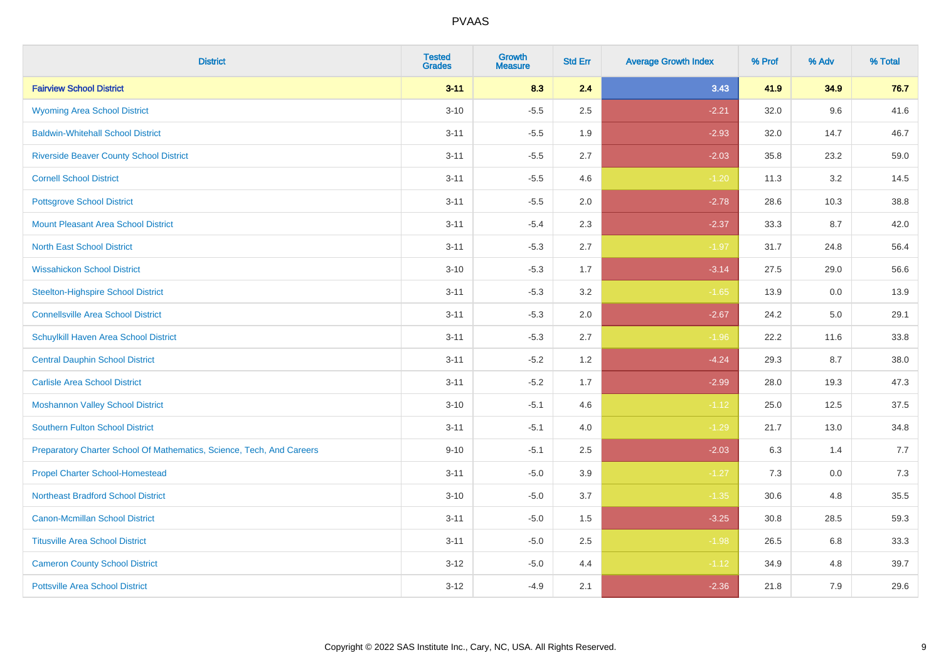| <b>District</b>                                                       | <b>Tested</b><br><b>Grades</b> | <b>Growth</b><br><b>Measure</b> | <b>Std Err</b> | <b>Average Growth Index</b> | % Prof | % Adv | % Total |
|-----------------------------------------------------------------------|--------------------------------|---------------------------------|----------------|-----------------------------|--------|-------|---------|
| <b>Fairview School District</b>                                       | $3 - 11$                       | 8.3                             | 2.4            | 3.43                        | 41.9   | 34.9  | 76.7    |
| <b>Wyoming Area School District</b>                                   | $3 - 10$                       | $-5.5$                          | 2.5            | $-2.21$                     | 32.0   | 9.6   | 41.6    |
| <b>Baldwin-Whitehall School District</b>                              | $3 - 11$                       | $-5.5$                          | 1.9            | $-2.93$                     | 32.0   | 14.7  | 46.7    |
| <b>Riverside Beaver County School District</b>                        | $3 - 11$                       | $-5.5$                          | 2.7            | $-2.03$                     | 35.8   | 23.2  | 59.0    |
| <b>Cornell School District</b>                                        | $3 - 11$                       | $-5.5$                          | 4.6            | $-1.20$                     | 11.3   | 3.2   | 14.5    |
| <b>Pottsgrove School District</b>                                     | $3 - 11$                       | $-5.5$                          | 2.0            | $-2.78$                     | 28.6   | 10.3  | 38.8    |
| <b>Mount Pleasant Area School District</b>                            | $3 - 11$                       | $-5.4$                          | 2.3            | $-2.37$                     | 33.3   | 8.7   | 42.0    |
| <b>North East School District</b>                                     | $3 - 11$                       | $-5.3$                          | 2.7            | $-1.97$                     | 31.7   | 24.8  | 56.4    |
| <b>Wissahickon School District</b>                                    | $3 - 10$                       | $-5.3$                          | 1.7            | $-3.14$                     | 27.5   | 29.0  | 56.6    |
| <b>Steelton-Highspire School District</b>                             | $3 - 11$                       | $-5.3$                          | 3.2            | $-1.65$                     | 13.9   | 0.0   | 13.9    |
| <b>Connellsville Area School District</b>                             | $3 - 11$                       | $-5.3$                          | 2.0            | $-2.67$                     | 24.2   | 5.0   | 29.1    |
| Schuylkill Haven Area School District                                 | $3 - 11$                       | $-5.3$                          | 2.7            | $-1.96$                     | 22.2   | 11.6  | 33.8    |
| <b>Central Dauphin School District</b>                                | $3 - 11$                       | $-5.2$                          | 1.2            | $-4.24$                     | 29.3   | 8.7   | 38.0    |
| <b>Carlisle Area School District</b>                                  | $3 - 11$                       | $-5.2$                          | 1.7            | $-2.99$                     | 28.0   | 19.3  | 47.3    |
| <b>Moshannon Valley School District</b>                               | $3 - 10$                       | $-5.1$                          | 4.6            | $-1.12$                     | 25.0   | 12.5  | 37.5    |
| <b>Southern Fulton School District</b>                                | $3 - 11$                       | $-5.1$                          | 4.0            | $-1.29$                     | 21.7   | 13.0  | 34.8    |
| Preparatory Charter School Of Mathematics, Science, Tech, And Careers | $9 - 10$                       | $-5.1$                          | 2.5            | $-2.03$                     | 6.3    | 1.4   | 7.7     |
| <b>Propel Charter School-Homestead</b>                                | $3 - 11$                       | $-5.0$                          | 3.9            | $-1.27$                     | 7.3    | 0.0   | 7.3     |
| <b>Northeast Bradford School District</b>                             | $3 - 10$                       | $-5.0$                          | 3.7            | $-1.35$                     | 30.6   | 4.8   | 35.5    |
| <b>Canon-Mcmillan School District</b>                                 | $3 - 11$                       | $-5.0$                          | 1.5            | $-3.25$                     | 30.8   | 28.5  | 59.3    |
| <b>Titusville Area School District</b>                                | $3 - 11$                       | $-5.0$                          | 2.5            | $-1.98$                     | 26.5   | 6.8   | 33.3    |
| <b>Cameron County School District</b>                                 | $3 - 12$                       | $-5.0$                          | 4.4            | $-1.12$                     | 34.9   | 4.8   | 39.7    |
| <b>Pottsville Area School District</b>                                | $3 - 12$                       | $-4.9$                          | 2.1            | $-2.36$                     | 21.8   | 7.9   | 29.6    |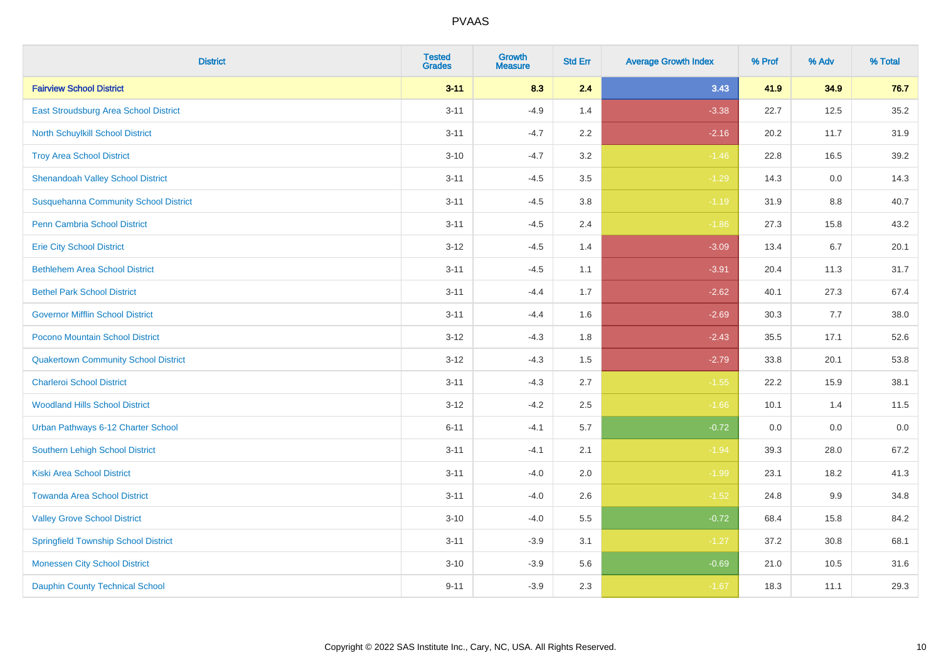| <b>District</b>                              | <b>Tested</b><br><b>Grades</b> | <b>Growth</b><br><b>Measure</b> | <b>Std Err</b> | <b>Average Growth Index</b> | % Prof | % Adv   | % Total |
|----------------------------------------------|--------------------------------|---------------------------------|----------------|-----------------------------|--------|---------|---------|
| <b>Fairview School District</b>              | $3 - 11$                       | 8.3                             | 2.4            | 3.43                        | 41.9   | 34.9    | 76.7    |
| <b>East Stroudsburg Area School District</b> | $3 - 11$                       | $-4.9$                          | 1.4            | $-3.38$                     | 22.7   | 12.5    | 35.2    |
| <b>North Schuylkill School District</b>      | $3 - 11$                       | $-4.7$                          | 2.2            | $-2.16$                     | 20.2   | 11.7    | 31.9    |
| <b>Troy Area School District</b>             | $3 - 10$                       | $-4.7$                          | 3.2            | $-1.46$                     | 22.8   | 16.5    | 39.2    |
| <b>Shenandoah Valley School District</b>     | $3 - 11$                       | $-4.5$                          | 3.5            | $-1.29$                     | 14.3   | 0.0     | 14.3    |
| <b>Susquehanna Community School District</b> | $3 - 11$                       | $-4.5$                          | 3.8            | $-1.19$                     | 31.9   | 8.8     | 40.7    |
| <b>Penn Cambria School District</b>          | $3 - 11$                       | $-4.5$                          | 2.4            | $-1.86$                     | 27.3   | 15.8    | 43.2    |
| <b>Erie City School District</b>             | $3 - 12$                       | $-4.5$                          | 1.4            | $-3.09$                     | 13.4   | 6.7     | 20.1    |
| <b>Bethlehem Area School District</b>        | $3 - 11$                       | $-4.5$                          | 1.1            | $-3.91$                     | 20.4   | 11.3    | 31.7    |
| <b>Bethel Park School District</b>           | $3 - 11$                       | $-4.4$                          | 1.7            | $-2.62$                     | 40.1   | 27.3    | 67.4    |
| <b>Governor Mifflin School District</b>      | $3 - 11$                       | $-4.4$                          | 1.6            | $-2.69$                     | 30.3   | 7.7     | 38.0    |
| Pocono Mountain School District              | $3 - 12$                       | $-4.3$                          | 1.8            | $-2.43$                     | 35.5   | 17.1    | 52.6    |
| <b>Quakertown Community School District</b>  | $3 - 12$                       | $-4.3$                          | $1.5$          | $-2.79$                     | 33.8   | 20.1    | 53.8    |
| <b>Charleroi School District</b>             | $3 - 11$                       | $-4.3$                          | 2.7            | $-1.55$                     | 22.2   | 15.9    | 38.1    |
| <b>Woodland Hills School District</b>        | $3 - 12$                       | $-4.2$                          | 2.5            | $-1.66$                     | 10.1   | 1.4     | 11.5    |
| Urban Pathways 6-12 Charter School           | $6 - 11$                       | $-4.1$                          | 5.7            | $-0.72$                     | 0.0    | $0.0\,$ | $0.0\,$ |
| <b>Southern Lehigh School District</b>       | $3 - 11$                       | $-4.1$                          | 2.1            | $-1.94$                     | 39.3   | 28.0    | 67.2    |
| <b>Kiski Area School District</b>            | $3 - 11$                       | $-4.0$                          | 2.0            | $-1.99$                     | 23.1   | 18.2    | 41.3    |
| <b>Towanda Area School District</b>          | $3 - 11$                       | $-4.0$                          | 2.6            | $-1.52$                     | 24.8   | 9.9     | 34.8    |
| <b>Valley Grove School District</b>          | $3 - 10$                       | $-4.0$                          | 5.5            | $-0.72$                     | 68.4   | 15.8    | 84.2    |
| <b>Springfield Township School District</b>  | $3 - 11$                       | $-3.9$                          | 3.1            | $-1.27$                     | 37.2   | 30.8    | 68.1    |
| <b>Monessen City School District</b>         | $3 - 10$                       | $-3.9$                          | 5.6            | $-0.69$                     | 21.0   | 10.5    | 31.6    |
| <b>Dauphin County Technical School</b>       | $9 - 11$                       | $-3.9$                          | 2.3            | $-1.67$                     | 18.3   | 11.1    | 29.3    |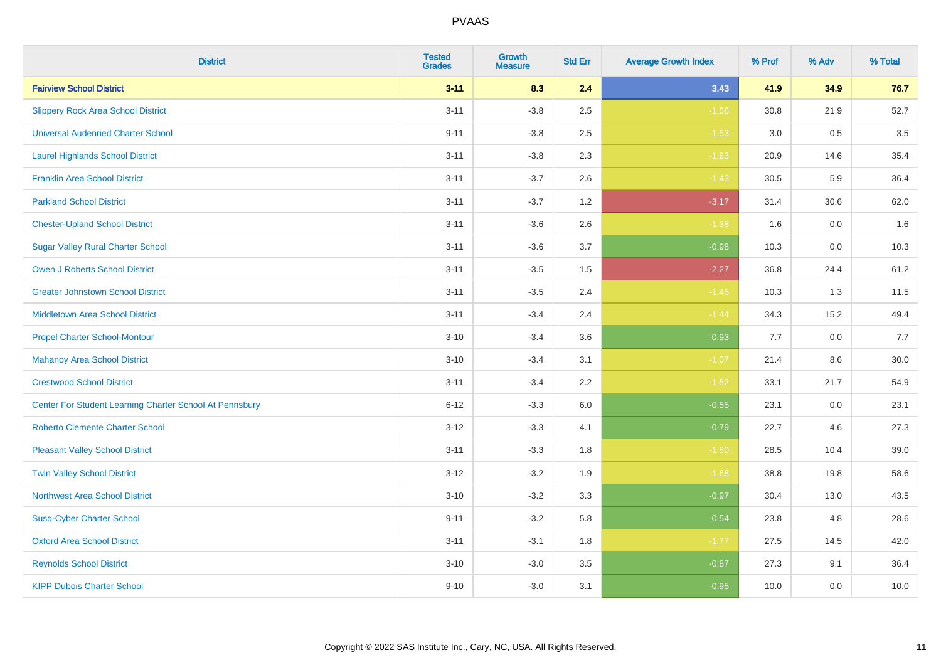| <b>District</b>                                         | <b>Tested</b><br><b>Grades</b> | <b>Growth</b><br><b>Measure</b> | <b>Std Err</b> | <b>Average Growth Index</b> | % Prof | % Adv   | % Total |
|---------------------------------------------------------|--------------------------------|---------------------------------|----------------|-----------------------------|--------|---------|---------|
| <b>Fairview School District</b>                         | $3 - 11$                       | 8.3                             | 2.4            | 3.43                        | 41.9   | 34.9    | 76.7    |
| <b>Slippery Rock Area School District</b>               | $3 - 11$                       | $-3.8$                          | 2.5            | $-1.56$                     | 30.8   | 21.9    | 52.7    |
| <b>Universal Audenried Charter School</b>               | $9 - 11$                       | $-3.8$                          | 2.5            | $-1.53$                     | 3.0    | 0.5     | 3.5     |
| <b>Laurel Highlands School District</b>                 | $3 - 11$                       | $-3.8$                          | 2.3            | $-1.63$                     | 20.9   | 14.6    | 35.4    |
| <b>Franklin Area School District</b>                    | $3 - 11$                       | $-3.7$                          | 2.6            | $-1.43$                     | 30.5   | 5.9     | 36.4    |
| <b>Parkland School District</b>                         | $3 - 11$                       | $-3.7$                          | 1.2            | $-3.17$                     | 31.4   | 30.6    | 62.0    |
| <b>Chester-Upland School District</b>                   | $3 - 11$                       | $-3.6$                          | 2.6            | $-1.38$                     | 1.6    | $0.0\,$ | 1.6     |
| <b>Sugar Valley Rural Charter School</b>                | $3 - 11$                       | $-3.6$                          | 3.7            | $-0.98$                     | 10.3   | 0.0     | 10.3    |
| <b>Owen J Roberts School District</b>                   | $3 - 11$                       | $-3.5$                          | 1.5            | $-2.27$                     | 36.8   | 24.4    | 61.2    |
| <b>Greater Johnstown School District</b>                | $3 - 11$                       | $-3.5$                          | 2.4            | $-1.45$                     | 10.3   | 1.3     | 11.5    |
| <b>Middletown Area School District</b>                  | $3 - 11$                       | $-3.4$                          | 2.4            | $-1.44$                     | 34.3   | 15.2    | 49.4    |
| <b>Propel Charter School-Montour</b>                    | $3 - 10$                       | $-3.4$                          | 3.6            | $-0.93$                     | 7.7    | 0.0     | 7.7     |
| <b>Mahanoy Area School District</b>                     | $3 - 10$                       | $-3.4$                          | 3.1            | $-1.07$                     | 21.4   | 8.6     | 30.0    |
| <b>Crestwood School District</b>                        | $3 - 11$                       | $-3.4$                          | 2.2            | $-1.52$                     | 33.1   | 21.7    | 54.9    |
| Center For Student Learning Charter School At Pennsbury | $6 - 12$                       | $-3.3$                          | 6.0            | $-0.55$                     | 23.1   | 0.0     | 23.1    |
| <b>Roberto Clemente Charter School</b>                  | $3 - 12$                       | $-3.3$                          | 4.1            | $-0.79$                     | 22.7   | 4.6     | 27.3    |
| <b>Pleasant Valley School District</b>                  | $3 - 11$                       | $-3.3$                          | 1.8            | $-1.80$                     | 28.5   | 10.4    | 39.0    |
| <b>Twin Valley School District</b>                      | $3 - 12$                       | $-3.2$                          | 1.9            | $-1.68$                     | 38.8   | 19.8    | 58.6    |
| <b>Northwest Area School District</b>                   | $3 - 10$                       | $-3.2$                          | 3.3            | $-0.97$                     | 30.4   | 13.0    | 43.5    |
| <b>Susq-Cyber Charter School</b>                        | $9 - 11$                       | $-3.2$                          | 5.8            | $-0.54$                     | 23.8   | 4.8     | 28.6    |
| <b>Oxford Area School District</b>                      | $3 - 11$                       | $-3.1$                          | 1.8            | $-1.77$                     | 27.5   | 14.5    | 42.0    |
| <b>Reynolds School District</b>                         | $3 - 10$                       | $-3.0$                          | 3.5            | $-0.87$                     | 27.3   | 9.1     | 36.4    |
| <b>KIPP Dubois Charter School</b>                       | $9 - 10$                       | $-3.0$                          | 3.1            | $-0.95$                     | 10.0   | 0.0     | 10.0    |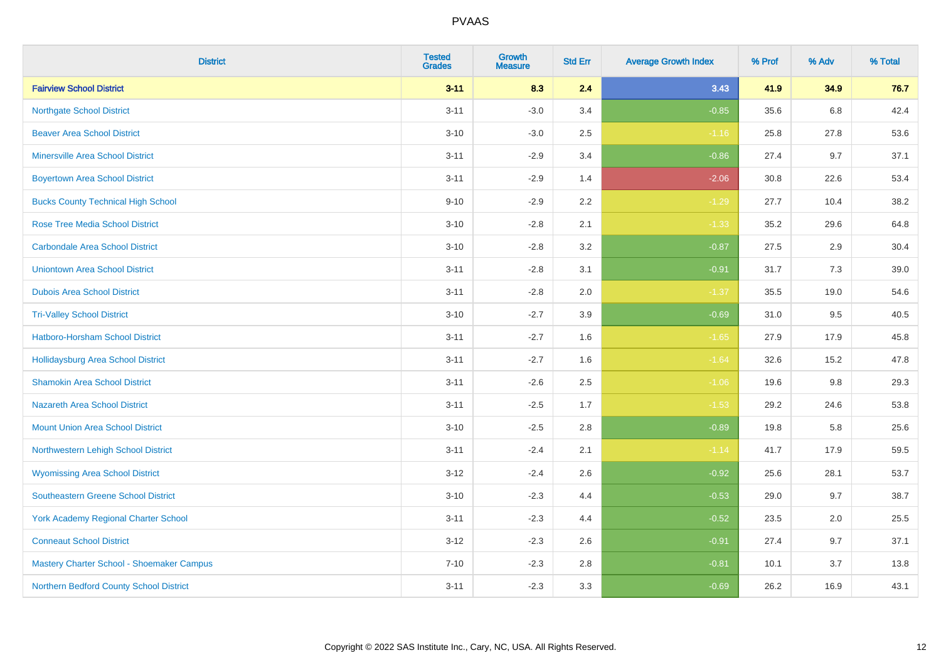| <b>District</b>                             | <b>Tested</b><br><b>Grades</b> | <b>Growth</b><br><b>Measure</b> | <b>Std Err</b> | <b>Average Growth Index</b> | % Prof | % Adv | % Total |
|---------------------------------------------|--------------------------------|---------------------------------|----------------|-----------------------------|--------|-------|---------|
| <b>Fairview School District</b>             | $3 - 11$                       | 8.3                             | 2.4            | 3.43                        | 41.9   | 34.9  | 76.7    |
| <b>Northgate School District</b>            | $3 - 11$                       | $-3.0$                          | 3.4            | $-0.85$                     | 35.6   | 6.8   | 42.4    |
| <b>Beaver Area School District</b>          | $3 - 10$                       | $-3.0$                          | 2.5            | $-1.16$                     | 25.8   | 27.8  | 53.6    |
| <b>Minersville Area School District</b>     | $3 - 11$                       | $-2.9$                          | 3.4            | $-0.86$                     | 27.4   | 9.7   | 37.1    |
| <b>Boyertown Area School District</b>       | $3 - 11$                       | $-2.9$                          | 1.4            | $-2.06$                     | 30.8   | 22.6  | 53.4    |
| <b>Bucks County Technical High School</b>   | $9 - 10$                       | $-2.9$                          | 2.2            | $-1.29$                     | 27.7   | 10.4  | 38.2    |
| <b>Rose Tree Media School District</b>      | $3 - 10$                       | $-2.8$                          | 2.1            | $-1.33$                     | 35.2   | 29.6  | 64.8    |
| <b>Carbondale Area School District</b>      | $3 - 10$                       | $-2.8$                          | 3.2            | $-0.87$                     | 27.5   | 2.9   | 30.4    |
| <b>Uniontown Area School District</b>       | $3 - 11$                       | $-2.8$                          | 3.1            | $-0.91$                     | 31.7   | 7.3   | 39.0    |
| <b>Dubois Area School District</b>          | $3 - 11$                       | $-2.8$                          | 2.0            | $-1.37$                     | 35.5   | 19.0  | 54.6    |
| <b>Tri-Valley School District</b>           | $3 - 10$                       | $-2.7$                          | 3.9            | $-0.69$                     | 31.0   | 9.5   | 40.5    |
| Hatboro-Horsham School District             | $3 - 11$                       | $-2.7$                          | 1.6            | $-1.65$                     | 27.9   | 17.9  | 45.8    |
| <b>Hollidaysburg Area School District</b>   | $3 - 11$                       | $-2.7$                          | 1.6            | $-1.64$                     | 32.6   | 15.2  | 47.8    |
| <b>Shamokin Area School District</b>        | $3 - 11$                       | $-2.6$                          | 2.5            | $-1.06$                     | 19.6   | 9.8   | 29.3    |
| <b>Nazareth Area School District</b>        | $3 - 11$                       | $-2.5$                          | 1.7            | $-1.53$                     | 29.2   | 24.6  | 53.8    |
| <b>Mount Union Area School District</b>     | $3 - 10$                       | $-2.5$                          | 2.8            | $-0.89$                     | 19.8   | 5.8   | 25.6    |
| Northwestern Lehigh School District         | $3 - 11$                       | $-2.4$                          | 2.1            | $-1.14$                     | 41.7   | 17.9  | 59.5    |
| <b>Wyomissing Area School District</b>      | $3-12$                         | $-2.4$                          | 2.6            | $-0.92$                     | 25.6   | 28.1  | 53.7    |
| <b>Southeastern Greene School District</b>  | $3 - 10$                       | $-2.3$                          | 4.4            | $-0.53$                     | 29.0   | 9.7   | 38.7    |
| <b>York Academy Regional Charter School</b> | $3 - 11$                       | $-2.3$                          | 4.4            | $-0.52$                     | 23.5   | 2.0   | 25.5    |
| <b>Conneaut School District</b>             | $3 - 12$                       | $-2.3$                          | 2.6            | $-0.91$                     | 27.4   | 9.7   | 37.1    |
| Mastery Charter School - Shoemaker Campus   | $7 - 10$                       | $-2.3$                          | 2.8            | $-0.81$                     | 10.1   | 3.7   | 13.8    |
| Northern Bedford County School District     | $3 - 11$                       | $-2.3$                          | 3.3            | $-0.69$                     | 26.2   | 16.9  | 43.1    |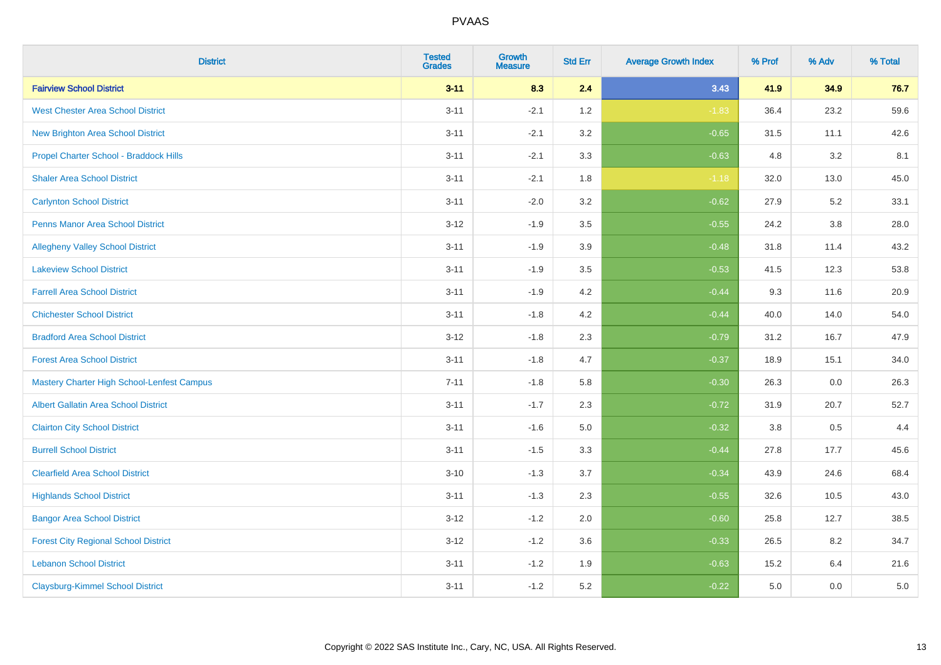| <b>District</b>                                   | <b>Tested</b><br><b>Grades</b> | <b>Growth</b><br><b>Measure</b> | <b>Std Err</b> | <b>Average Growth Index</b> | % Prof  | % Adv | % Total |
|---------------------------------------------------|--------------------------------|---------------------------------|----------------|-----------------------------|---------|-------|---------|
| <b>Fairview School District</b>                   | $3 - 11$                       | 8.3                             | 2.4            | 3.43                        | 41.9    | 34.9  | 76.7    |
| <b>West Chester Area School District</b>          | $3 - 11$                       | $-2.1$                          | 1.2            | $-1.83$                     | 36.4    | 23.2  | 59.6    |
| <b>New Brighton Area School District</b>          | $3 - 11$                       | $-2.1$                          | 3.2            | $-0.65$                     | 31.5    | 11.1  | 42.6    |
| Propel Charter School - Braddock Hills            | $3 - 11$                       | $-2.1$                          | 3.3            | $-0.63$                     | 4.8     | 3.2   | 8.1     |
| <b>Shaler Area School District</b>                | $3 - 11$                       | $-2.1$                          | 1.8            | $-1.18$                     | 32.0    | 13.0  | 45.0    |
| <b>Carlynton School District</b>                  | $3 - 11$                       | $-2.0$                          | 3.2            | $-0.62$                     | 27.9    | 5.2   | 33.1    |
| <b>Penns Manor Area School District</b>           | $3 - 12$                       | $-1.9$                          | 3.5            | $-0.55$                     | 24.2    | 3.8   | 28.0    |
| <b>Allegheny Valley School District</b>           | $3 - 11$                       | $-1.9$                          | 3.9            | $-0.48$                     | 31.8    | 11.4  | 43.2    |
| <b>Lakeview School District</b>                   | $3 - 11$                       | $-1.9$                          | 3.5            | $-0.53$                     | 41.5    | 12.3  | 53.8    |
| <b>Farrell Area School District</b>               | $3 - 11$                       | $-1.9$                          | 4.2            | $-0.44$                     | 9.3     | 11.6  | 20.9    |
| <b>Chichester School District</b>                 | $3 - 11$                       | $-1.8$                          | 4.2            | $-0.44$                     | 40.0    | 14.0  | 54.0    |
| <b>Bradford Area School District</b>              | $3 - 12$                       | $-1.8$                          | 2.3            | $-0.79$                     | 31.2    | 16.7  | 47.9    |
| <b>Forest Area School District</b>                | $3 - 11$                       | $-1.8$                          | 4.7            | $-0.37$                     | 18.9    | 15.1  | 34.0    |
| <b>Mastery Charter High School-Lenfest Campus</b> | $7 - 11$                       | $-1.8$                          | 5.8            | $-0.30$                     | 26.3    | 0.0   | 26.3    |
| <b>Albert Gallatin Area School District</b>       | $3 - 11$                       | $-1.7$                          | 2.3            | $-0.72$                     | 31.9    | 20.7  | 52.7    |
| <b>Clairton City School District</b>              | $3 - 11$                       | $-1.6$                          | 5.0            | $-0.32$                     | $3.8\,$ | 0.5   | 4.4     |
| <b>Burrell School District</b>                    | $3 - 11$                       | $-1.5$                          | 3.3            | $-0.44$                     | 27.8    | 17.7  | 45.6    |
| <b>Clearfield Area School District</b>            | $3 - 10$                       | $-1.3$                          | 3.7            | $-0.34$                     | 43.9    | 24.6  | 68.4    |
| <b>Highlands School District</b>                  | $3 - 11$                       | $-1.3$                          | 2.3            | $-0.55$                     | 32.6    | 10.5  | 43.0    |
| <b>Bangor Area School District</b>                | $3 - 12$                       | $-1.2$                          | 2.0            | $-0.60$                     | 25.8    | 12.7  | 38.5    |
| <b>Forest City Regional School District</b>       | $3 - 12$                       | $-1.2$                          | 3.6            | $-0.33$                     | 26.5    | 8.2   | 34.7    |
| <b>Lebanon School District</b>                    | $3 - 11$                       | $-1.2$                          | 1.9            | $-0.63$                     | 15.2    | 6.4   | 21.6    |
| <b>Claysburg-Kimmel School District</b>           | $3 - 11$                       | $-1.2$                          | 5.2            | $-0.22$                     | 5.0     | 0.0   | $5.0$   |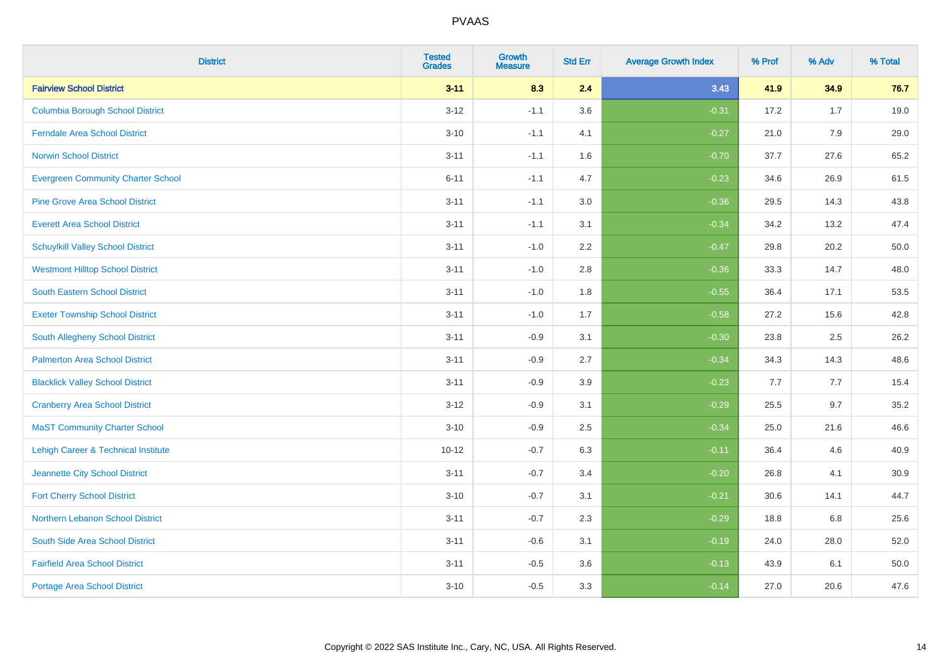| <b>District</b>                                | <b>Tested</b><br><b>Grades</b> | <b>Growth</b><br><b>Measure</b> | <b>Std Err</b> | <b>Average Growth Index</b> | % Prof | % Adv | % Total |
|------------------------------------------------|--------------------------------|---------------------------------|----------------|-----------------------------|--------|-------|---------|
| <b>Fairview School District</b>                | $3 - 11$                       | 8.3                             | 2.4            | 3.43                        | 41.9   | 34.9  | 76.7    |
| <b>Columbia Borough School District</b>        | $3 - 12$                       | $-1.1$                          | 3.6            | $-0.31$                     | 17.2   | 1.7   | 19.0    |
| <b>Ferndale Area School District</b>           | $3 - 10$                       | $-1.1$                          | 4.1            | $-0.27$                     | 21.0   | 7.9   | 29.0    |
| <b>Norwin School District</b>                  | $3 - 11$                       | $-1.1$                          | 1.6            | $-0.70$                     | 37.7   | 27.6  | 65.2    |
| <b>Evergreen Community Charter School</b>      | $6 - 11$                       | $-1.1$                          | 4.7            | $-0.23$                     | 34.6   | 26.9  | 61.5    |
| <b>Pine Grove Area School District</b>         | $3 - 11$                       | $-1.1$                          | 3.0            | $-0.36$                     | 29.5   | 14.3  | 43.8    |
| <b>Everett Area School District</b>            | $3 - 11$                       | $-1.1$                          | 3.1            | $-0.34$                     | 34.2   | 13.2  | 47.4    |
| <b>Schuylkill Valley School District</b>       | $3 - 11$                       | $-1.0$                          | 2.2            | $-0.47$                     | 29.8   | 20.2  | 50.0    |
| <b>Westmont Hilltop School District</b>        | $3 - 11$                       | $-1.0$                          | 2.8            | $-0.36$                     | 33.3   | 14.7  | 48.0    |
| <b>South Eastern School District</b>           | $3 - 11$                       | $-1.0$                          | 1.8            | $-0.55$                     | 36.4   | 17.1  | 53.5    |
| <b>Exeter Township School District</b>         | $3 - 11$                       | $-1.0$                          | 1.7            | $-0.58$                     | 27.2   | 15.6  | 42.8    |
| South Allegheny School District                | $3 - 11$                       | $-0.9$                          | 3.1            | $-0.30$                     | 23.8   | 2.5   | 26.2    |
| <b>Palmerton Area School District</b>          | $3 - 11$                       | $-0.9$                          | 2.7            | $-0.34$                     | 34.3   | 14.3  | 48.6    |
| <b>Blacklick Valley School District</b>        | $3 - 11$                       | $-0.9$                          | 3.9            | $-0.23$                     | 7.7    | 7.7   | 15.4    |
| <b>Cranberry Area School District</b>          | $3 - 12$                       | $-0.9$                          | 3.1            | $-0.29$                     | 25.5   | 9.7   | 35.2    |
| <b>MaST Community Charter School</b>           | $3 - 10$                       | $-0.9$                          | 2.5            | $-0.34$                     | 25.0   | 21.6  | 46.6    |
| <b>Lehigh Career &amp; Technical Institute</b> | $10 - 12$                      | $-0.7$                          | 6.3            | $-0.11$                     | 36.4   | 4.6   | 40.9    |
| Jeannette City School District                 | $3 - 11$                       | $-0.7$                          | 3.4            | $-0.20$                     | 26.8   | 4.1   | 30.9    |
| <b>Fort Cherry School District</b>             | $3 - 10$                       | $-0.7$                          | 3.1            | $-0.21$                     | 30.6   | 14.1  | 44.7    |
| Northern Lebanon School District               | $3 - 11$                       | $-0.7$                          | 2.3            | $-0.29$                     | 18.8   | 6.8   | 25.6    |
| South Side Area School District                | $3 - 11$                       | $-0.6$                          | 3.1            | $-0.19$                     | 24.0   | 28.0  | 52.0    |
| <b>Fairfield Area School District</b>          | $3 - 11$                       | $-0.5$                          | 3.6            | $-0.13$                     | 43.9   | 6.1   | 50.0    |
| <b>Portage Area School District</b>            | $3 - 10$                       | $-0.5$                          | 3.3            | $-0.14$                     | 27.0   | 20.6  | 47.6    |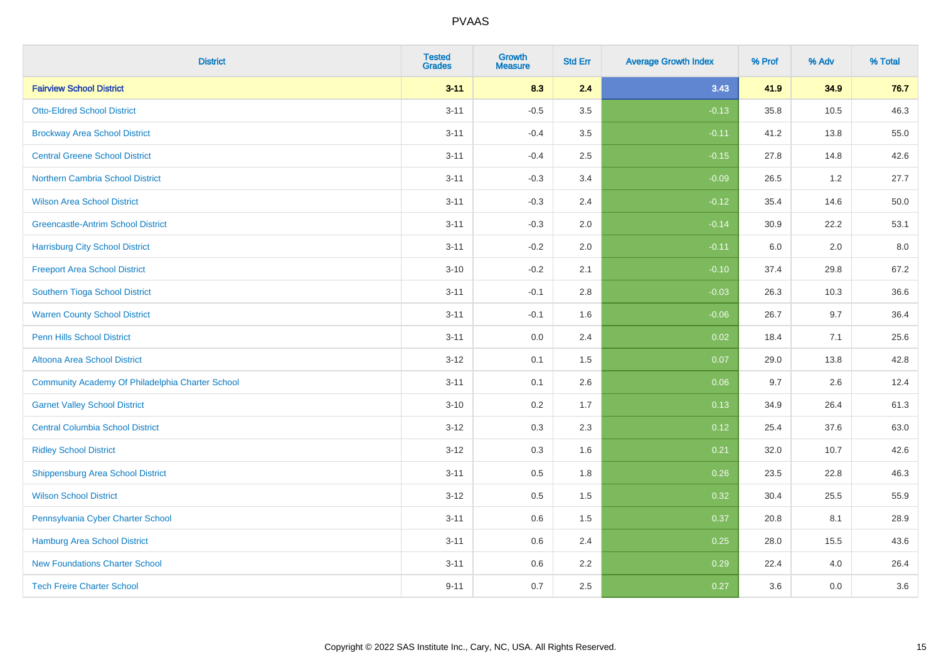| <b>District</b>                                  | <b>Tested</b><br><b>Grades</b> | <b>Growth</b><br><b>Measure</b> | <b>Std Err</b> | <b>Average Growth Index</b> | % Prof | % Adv | % Total |
|--------------------------------------------------|--------------------------------|---------------------------------|----------------|-----------------------------|--------|-------|---------|
| <b>Fairview School District</b>                  | $3 - 11$                       | 8.3                             | 2.4            | 3.43                        | 41.9   | 34.9  | 76.7    |
| <b>Otto-Eldred School District</b>               | $3 - 11$                       | $-0.5$                          | 3.5            | $-0.13$                     | 35.8   | 10.5  | 46.3    |
| <b>Brockway Area School District</b>             | $3 - 11$                       | $-0.4$                          | 3.5            | $-0.11$                     | 41.2   | 13.8  | 55.0    |
| <b>Central Greene School District</b>            | $3 - 11$                       | $-0.4$                          | 2.5            | $-0.15$                     | 27.8   | 14.8  | 42.6    |
| Northern Cambria School District                 | $3 - 11$                       | $-0.3$                          | 3.4            | $-0.09$                     | 26.5   | 1.2   | 27.7    |
| <b>Wilson Area School District</b>               | $3 - 11$                       | $-0.3$                          | 2.4            | $-0.12$                     | 35.4   | 14.6  | 50.0    |
| <b>Greencastle-Antrim School District</b>        | $3 - 11$                       | $-0.3$                          | 2.0            | $-0.14$                     | 30.9   | 22.2  | 53.1    |
| <b>Harrisburg City School District</b>           | $3 - 11$                       | $-0.2$                          | 2.0            | $-0.11$                     | 6.0    | 2.0   | 8.0     |
| <b>Freeport Area School District</b>             | $3 - 10$                       | $-0.2$                          | 2.1            | $-0.10$                     | 37.4   | 29.8  | 67.2    |
| Southern Tioga School District                   | $3 - 11$                       | $-0.1$                          | 2.8            | $-0.03$                     | 26.3   | 10.3  | 36.6    |
| <b>Warren County School District</b>             | $3 - 11$                       | $-0.1$                          | 1.6            | $-0.06$                     | 26.7   | 9.7   | 36.4    |
| <b>Penn Hills School District</b>                | $3 - 11$                       | 0.0                             | 2.4            | 0.02                        | 18.4   | 7.1   | 25.6    |
| Altoona Area School District                     | $3 - 12$                       | 0.1                             | 1.5            | 0.07                        | 29.0   | 13.8  | 42.8    |
| Community Academy Of Philadelphia Charter School | $3 - 11$                       | 0.1                             | 2.6            | 0.06                        | 9.7    | 2.6   | 12.4    |
| <b>Garnet Valley School District</b>             | $3 - 10$                       | 0.2                             | 1.7            | 0.13                        | 34.9   | 26.4  | 61.3    |
| <b>Central Columbia School District</b>          | $3 - 12$                       | 0.3                             | 2.3            | 0.12                        | 25.4   | 37.6  | 63.0    |
| <b>Ridley School District</b>                    | $3 - 12$                       | 0.3                             | 1.6            | 0.21                        | 32.0   | 10.7  | 42.6    |
| <b>Shippensburg Area School District</b>         | $3 - 11$                       | 0.5                             | 1.8            | 0.26                        | 23.5   | 22.8  | 46.3    |
| <b>Wilson School District</b>                    | $3 - 12$                       | 0.5                             | 1.5            | 0.32                        | 30.4   | 25.5  | 55.9    |
| Pennsylvania Cyber Charter School                | $3 - 11$                       | 0.6                             | 1.5            | 0.37                        | 20.8   | 8.1   | 28.9    |
| Hamburg Area School District                     | $3 - 11$                       | 0.6                             | 2.4            | 0.25                        | 28.0   | 15.5  | 43.6    |
| <b>New Foundations Charter School</b>            | $3 - 11$                       | 0.6                             | 2.2            | 0.29                        | 22.4   | 4.0   | 26.4    |
| <b>Tech Freire Charter School</b>                | $9 - 11$                       | 0.7                             | 2.5            | 0.27                        | 3.6    | 0.0   | 3.6     |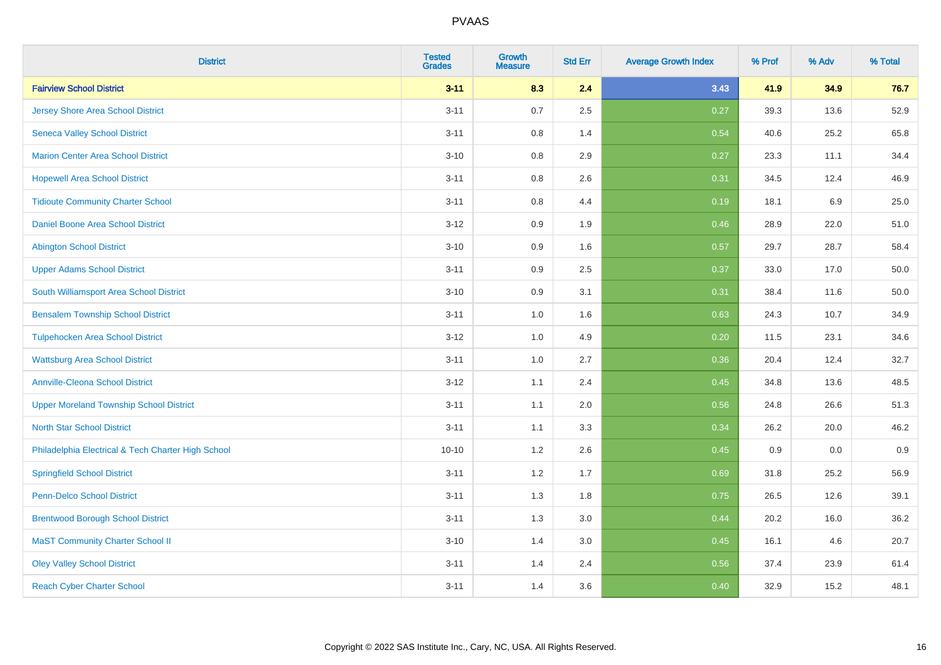| <b>District</b>                                    | <b>Tested</b><br><b>Grades</b> | <b>Growth</b><br><b>Measure</b> | <b>Std Err</b> | <b>Average Growth Index</b> | % Prof | % Adv | % Total |
|----------------------------------------------------|--------------------------------|---------------------------------|----------------|-----------------------------|--------|-------|---------|
| <b>Fairview School District</b>                    | $3 - 11$                       | 8.3                             | 2.4            | 3.43                        | 41.9   | 34.9  | 76.7    |
| <b>Jersey Shore Area School District</b>           | $3 - 11$                       | 0.7                             | 2.5            | 0.27                        | 39.3   | 13.6  | 52.9    |
| <b>Seneca Valley School District</b>               | $3 - 11$                       | 0.8                             | 1.4            | 0.54                        | 40.6   | 25.2  | 65.8    |
| <b>Marion Center Area School District</b>          | $3 - 10$                       | $0.8\,$                         | 2.9            | 0.27                        | 23.3   | 11.1  | 34.4    |
| <b>Hopewell Area School District</b>               | $3 - 11$                       | 0.8                             | 2.6            | 0.31                        | 34.5   | 12.4  | 46.9    |
| <b>Tidioute Community Charter School</b>           | $3 - 11$                       | $0.8\,$                         | 4.4            | 0.19                        | 18.1   | 6.9   | 25.0    |
| Daniel Boone Area School District                  | $3 - 12$                       | $0.9\,$                         | 1.9            | 0.46                        | 28.9   | 22.0  | 51.0    |
| <b>Abington School District</b>                    | $3 - 10$                       | 0.9                             | 1.6            | 0.57                        | 29.7   | 28.7  | 58.4    |
| <b>Upper Adams School District</b>                 | $3 - 11$                       | 0.9                             | 2.5            | 0.37                        | 33.0   | 17.0  | 50.0    |
| South Williamsport Area School District            | $3 - 10$                       | $0.9\,$                         | 3.1            | 0.31                        | 38.4   | 11.6  | 50.0    |
| <b>Bensalem Township School District</b>           | $3 - 11$                       | 1.0                             | 1.6            | 0.63                        | 24.3   | 10.7  | 34.9    |
| <b>Tulpehocken Area School District</b>            | $3 - 12$                       | 1.0                             | 4.9            | 0.20                        | 11.5   | 23.1  | 34.6    |
| <b>Wattsburg Area School District</b>              | $3 - 11$                       | 1.0                             | 2.7            | 0.36                        | 20.4   | 12.4  | 32.7    |
| <b>Annville-Cleona School District</b>             | $3 - 12$                       | 1.1                             | 2.4            | 0.45                        | 34.8   | 13.6  | 48.5    |
| <b>Upper Moreland Township School District</b>     | $3 - 11$                       | 1.1                             | 2.0            | 0.56                        | 24.8   | 26.6  | 51.3    |
| <b>North Star School District</b>                  | $3 - 11$                       | 1.1                             | 3.3            | 0.34                        | 26.2   | 20.0  | 46.2    |
| Philadelphia Electrical & Tech Charter High School | $10 - 10$                      | 1.2                             | 2.6            | 0.45                        | 0.9    | 0.0   | 0.9     |
| <b>Springfield School District</b>                 | $3 - 11$                       | 1.2                             | 1.7            | 0.69                        | 31.8   | 25.2  | 56.9    |
| <b>Penn-Delco School District</b>                  | $3 - 11$                       | 1.3                             | 1.8            | 0.75                        | 26.5   | 12.6  | 39.1    |
| <b>Brentwood Borough School District</b>           | $3 - 11$                       | 1.3                             | 3.0            | 0.44                        | 20.2   | 16.0  | 36.2    |
| <b>MaST Community Charter School II</b>            | $3 - 10$                       | 1.4                             | 3.0            | 0.45                        | 16.1   | 4.6   | 20.7    |
| <b>Oley Valley School District</b>                 | $3 - 11$                       | 1.4                             | 2.4            | 0.56                        | 37.4   | 23.9  | 61.4    |
| <b>Reach Cyber Charter School</b>                  | $3 - 11$                       | 1.4                             | 3.6            | 0.40                        | 32.9   | 15.2  | 48.1    |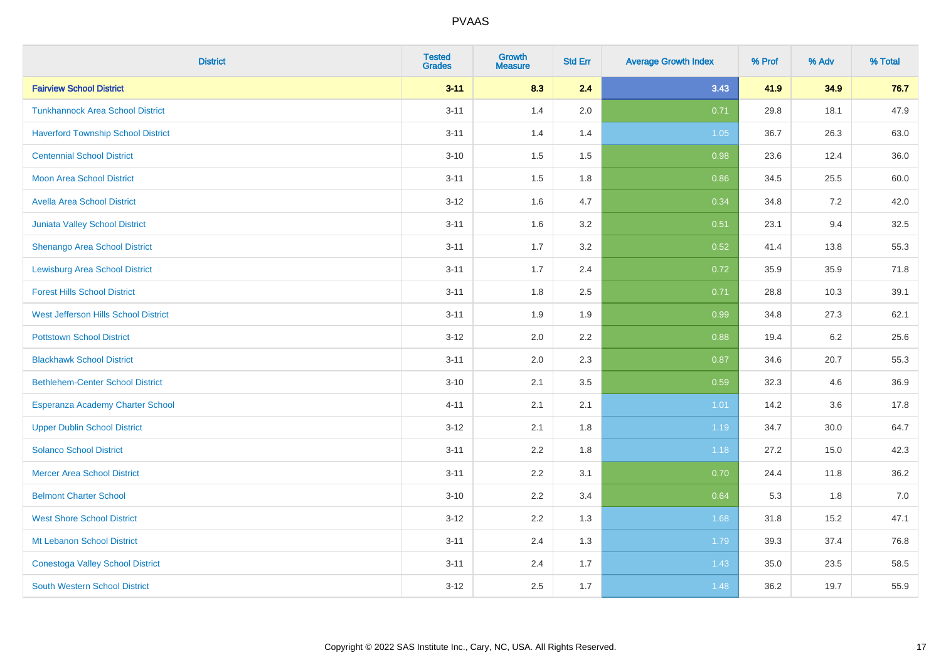| <b>District</b>                           | <b>Tested</b><br><b>Grades</b> | <b>Growth</b><br><b>Measure</b> | <b>Std Err</b> | <b>Average Growth Index</b> | % Prof | % Adv | % Total |
|-------------------------------------------|--------------------------------|---------------------------------|----------------|-----------------------------|--------|-------|---------|
| <b>Fairview School District</b>           | $3 - 11$                       | 8.3                             | 2.4            | 3.43                        | 41.9   | 34.9  | 76.7    |
| <b>Tunkhannock Area School District</b>   | $3 - 11$                       | 1.4                             | 2.0            | 0.71                        | 29.8   | 18.1  | 47.9    |
| <b>Haverford Township School District</b> | $3 - 11$                       | 1.4                             | 1.4            | 1.05                        | 36.7   | 26.3  | 63.0    |
| <b>Centennial School District</b>         | $3 - 10$                       | 1.5                             | 1.5            | 0.98                        | 23.6   | 12.4  | 36.0    |
| <b>Moon Area School District</b>          | $3 - 11$                       | 1.5                             | 1.8            | 0.86                        | 34.5   | 25.5  | 60.0    |
| <b>Avella Area School District</b>        | $3 - 12$                       | 1.6                             | 4.7            | 0.34                        | 34.8   | 7.2   | 42.0    |
| Juniata Valley School District            | $3 - 11$                       | 1.6                             | 3.2            | 0.51                        | 23.1   | 9.4   | 32.5    |
| <b>Shenango Area School District</b>      | $3 - 11$                       | 1.7                             | 3.2            | 0.52                        | 41.4   | 13.8  | 55.3    |
| <b>Lewisburg Area School District</b>     | $3 - 11$                       | 1.7                             | 2.4            | 0.72                        | 35.9   | 35.9  | 71.8    |
| <b>Forest Hills School District</b>       | $3 - 11$                       | 1.8                             | 2.5            | 0.71                        | 28.8   | 10.3  | 39.1    |
| West Jefferson Hills School District      | $3 - 11$                       | 1.9                             | 1.9            | 0.99                        | 34.8   | 27.3  | 62.1    |
| <b>Pottstown School District</b>          | $3 - 12$                       | 2.0                             | 2.2            | 0.88                        | 19.4   | 6.2   | 25.6    |
| <b>Blackhawk School District</b>          | $3 - 11$                       | 2.0                             | 2.3            | 0.87                        | 34.6   | 20.7  | 55.3    |
| <b>Bethlehem-Center School District</b>   | $3 - 10$                       | 2.1                             | 3.5            | 0.59                        | 32.3   | 4.6   | 36.9    |
| Esperanza Academy Charter School          | $4 - 11$                       | 2.1                             | 2.1            | 1.01                        | 14.2   | 3.6   | 17.8    |
| <b>Upper Dublin School District</b>       | $3 - 12$                       | 2.1                             | 1.8            | 1.19                        | 34.7   | 30.0  | 64.7    |
| <b>Solanco School District</b>            | $3 - 11$                       | 2.2                             | 1.8            | 1.18                        | 27.2   | 15.0  | 42.3    |
| <b>Mercer Area School District</b>        | $3 - 11$                       | 2.2                             | 3.1            | 0.70                        | 24.4   | 11.8  | 36.2    |
| <b>Belmont Charter School</b>             | $3 - 10$                       | 2.2                             | 3.4            | 0.64                        | 5.3    | 1.8   | $7.0$   |
| <b>West Shore School District</b>         | $3 - 12$                       | 2.2                             | 1.3            | 1.68                        | 31.8   | 15.2  | 47.1    |
| Mt Lebanon School District                | $3 - 11$                       | 2.4                             | 1.3            | 1.79                        | 39.3   | 37.4  | 76.8    |
| <b>Conestoga Valley School District</b>   | $3 - 11$                       | 2.4                             | 1.7            | 1.43                        | 35.0   | 23.5  | 58.5    |
| <b>South Western School District</b>      | $3 - 12$                       | 2.5                             | 1.7            | 1.48                        | 36.2   | 19.7  | 55.9    |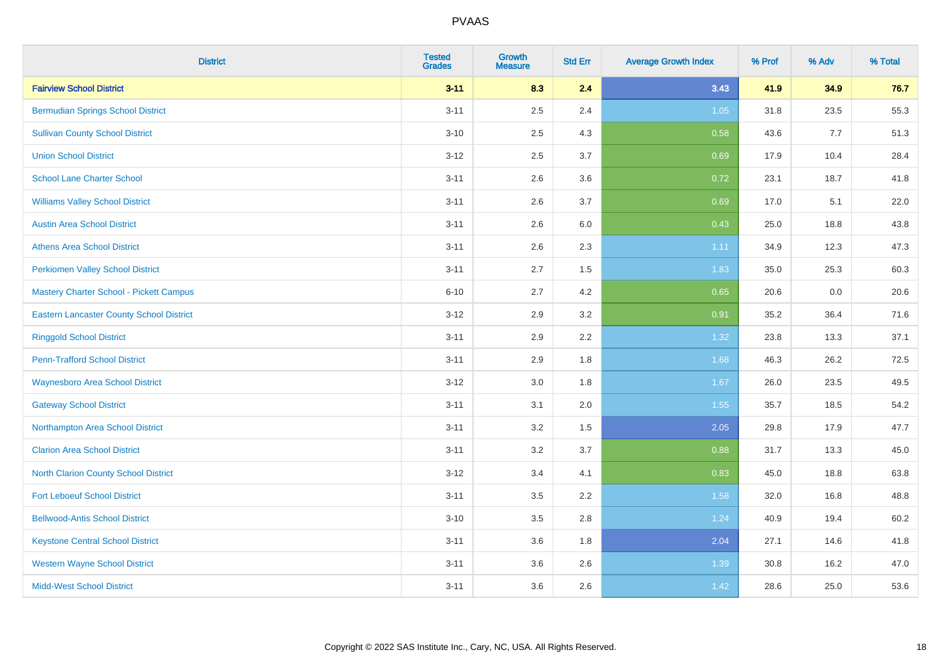| <b>District</b>                                 | <b>Tested</b><br><b>Grades</b> | <b>Growth</b><br><b>Measure</b> | <b>Std Err</b> | <b>Average Growth Index</b> | % Prof | % Adv | % Total |
|-------------------------------------------------|--------------------------------|---------------------------------|----------------|-----------------------------|--------|-------|---------|
| <b>Fairview School District</b>                 | $3 - 11$                       | 8.3                             | 2.4            | 3.43                        | 41.9   | 34.9  | 76.7    |
| <b>Bermudian Springs School District</b>        | $3 - 11$                       | 2.5                             | 2.4            | $1.05$                      | 31.8   | 23.5  | 55.3    |
| <b>Sullivan County School District</b>          | $3 - 10$                       | 2.5                             | 4.3            | 0.58                        | 43.6   | 7.7   | 51.3    |
| <b>Union School District</b>                    | $3 - 12$                       | 2.5                             | 3.7            | 0.69                        | 17.9   | 10.4  | 28.4    |
| <b>School Lane Charter School</b>               | $3 - 11$                       | 2.6                             | 3.6            | 0.72                        | 23.1   | 18.7  | 41.8    |
| <b>Williams Valley School District</b>          | $3 - 11$                       | 2.6                             | 3.7            | 0.69                        | 17.0   | 5.1   | 22.0    |
| <b>Austin Area School District</b>              | $3 - 11$                       | 2.6                             | 6.0            | 0.43                        | 25.0   | 18.8  | 43.8    |
| <b>Athens Area School District</b>              | $3 - 11$                       | 2.6                             | 2.3            | 1.11                        | 34.9   | 12.3  | 47.3    |
| <b>Perkiomen Valley School District</b>         | $3 - 11$                       | 2.7                             | 1.5            | 1.83                        | 35.0   | 25.3  | 60.3    |
| <b>Mastery Charter School - Pickett Campus</b>  | $6 - 10$                       | 2.7                             | 4.2            | 0.65                        | 20.6   | 0.0   | 20.6    |
| <b>Eastern Lancaster County School District</b> | $3 - 12$                       | 2.9                             | 3.2            | 0.91                        | 35.2   | 36.4  | 71.6    |
| <b>Ringgold School District</b>                 | $3 - 11$                       | 2.9                             | 2.2            | 1.32                        | 23.8   | 13.3  | 37.1    |
| <b>Penn-Trafford School District</b>            | $3 - 11$                       | 2.9                             | 1.8            | 1.68                        | 46.3   | 26.2  | 72.5    |
| <b>Waynesboro Area School District</b>          | $3 - 12$                       | 3.0                             | 1.8            | 1.67                        | 26.0   | 23.5  | 49.5    |
| <b>Gateway School District</b>                  | $3 - 11$                       | 3.1                             | 2.0            | 1.55                        | 35.7   | 18.5  | 54.2    |
| Northampton Area School District                | $3 - 11$                       | 3.2                             | 1.5            | 2.05                        | 29.8   | 17.9  | 47.7    |
| <b>Clarion Area School District</b>             | $3 - 11$                       | $3.2\,$                         | 3.7            | 0.88                        | 31.7   | 13.3  | 45.0    |
| North Clarion County School District            | $3 - 12$                       | 3.4                             | 4.1            | 0.83                        | 45.0   | 18.8  | 63.8    |
| <b>Fort Leboeuf School District</b>             | $3 - 11$                       | 3.5                             | 2.2            | 1.58                        | 32.0   | 16.8  | 48.8    |
| <b>Bellwood-Antis School District</b>           | $3 - 10$                       | 3.5                             | 2.8            | 1.24                        | 40.9   | 19.4  | 60.2    |
| <b>Keystone Central School District</b>         | $3 - 11$                       | 3.6                             | 1.8            | 2.04                        | 27.1   | 14.6  | 41.8    |
| <b>Western Wayne School District</b>            | $3 - 11$                       | 3.6                             | 2.6            | 1.39                        | 30.8   | 16.2  | 47.0    |
| <b>Midd-West School District</b>                | $3 - 11$                       | 3.6                             | 2.6            | 1.42                        | 28.6   | 25.0  | 53.6    |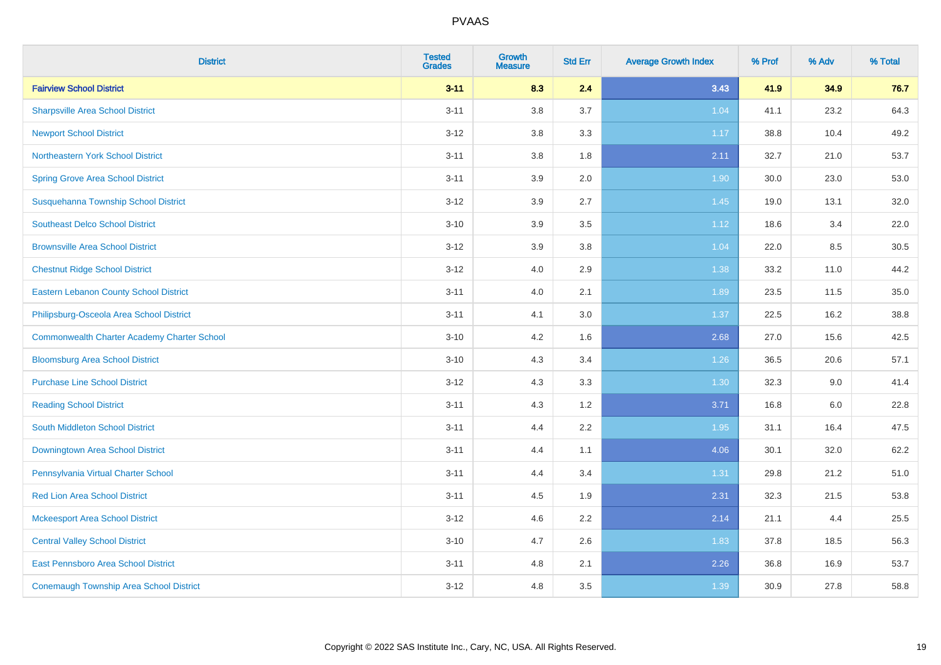| <b>District</b>                                    | <b>Tested</b><br><b>Grades</b> | <b>Growth</b><br><b>Measure</b> | <b>Std Err</b> | <b>Average Growth Index</b> | % Prof | % Adv | % Total |
|----------------------------------------------------|--------------------------------|---------------------------------|----------------|-----------------------------|--------|-------|---------|
| <b>Fairview School District</b>                    | $3 - 11$                       | 8.3                             | 2.4            | 3.43                        | 41.9   | 34.9  | 76.7    |
| <b>Sharpsville Area School District</b>            | $3 - 11$                       | 3.8                             | 3.7            | 1.04                        | 41.1   | 23.2  | 64.3    |
| <b>Newport School District</b>                     | $3 - 12$                       | 3.8                             | 3.3            | 1.17                        | 38.8   | 10.4  | 49.2    |
| Northeastern York School District                  | $3 - 11$                       | 3.8                             | 1.8            | 2.11                        | 32.7   | 21.0  | 53.7    |
| <b>Spring Grove Area School District</b>           | $3 - 11$                       | 3.9                             | 2.0            | 1.90                        | 30.0   | 23.0  | 53.0    |
| Susquehanna Township School District               | $3 - 12$                       | 3.9                             | 2.7            | 1.45                        | 19.0   | 13.1  | 32.0    |
| <b>Southeast Delco School District</b>             | $3 - 10$                       | 3.9                             | 3.5            | 1.12                        | 18.6   | 3.4   | 22.0    |
| <b>Brownsville Area School District</b>            | $3 - 12$                       | 3.9                             | 3.8            | 1.04                        | 22.0   | 8.5   | 30.5    |
| <b>Chestnut Ridge School District</b>              | $3 - 12$                       | 4.0                             | 2.9            | 1.38                        | 33.2   | 11.0  | 44.2    |
| <b>Eastern Lebanon County School District</b>      | $3 - 11$                       | 4.0                             | 2.1            | 1.89                        | 23.5   | 11.5  | 35.0    |
| Philipsburg-Osceola Area School District           | $3 - 11$                       | 4.1                             | 3.0            | 1.37                        | 22.5   | 16.2  | 38.8    |
| <b>Commonwealth Charter Academy Charter School</b> | $3 - 10$                       | 4.2                             | 1.6            | 2.68                        | 27.0   | 15.6  | 42.5    |
| <b>Bloomsburg Area School District</b>             | $3 - 10$                       | 4.3                             | 3.4            | 1.26                        | 36.5   | 20.6  | 57.1    |
| <b>Purchase Line School District</b>               | $3 - 12$                       | 4.3                             | 3.3            | 1.30                        | 32.3   | 9.0   | 41.4    |
| <b>Reading School District</b>                     | $3 - 11$                       | 4.3                             | 1.2            | 3.71                        | 16.8   | 6.0   | 22.8    |
| South Middleton School District                    | $3 - 11$                       | 4.4                             | 2.2            | 1.95                        | 31.1   | 16.4  | 47.5    |
| <b>Downingtown Area School District</b>            | $3 - 11$                       | 4.4                             | 1.1            | 4.06                        | 30.1   | 32.0  | 62.2    |
| Pennsylvania Virtual Charter School                | $3 - 11$                       | 4.4                             | 3.4            | 1.31                        | 29.8   | 21.2  | 51.0    |
| <b>Red Lion Area School District</b>               | $3 - 11$                       | 4.5                             | 1.9            | 2.31                        | 32.3   | 21.5  | 53.8    |
| <b>Mckeesport Area School District</b>             | $3 - 12$                       | 4.6                             | 2.2            | 2.14                        | 21.1   | 4.4   | 25.5    |
| <b>Central Valley School District</b>              | $3 - 10$                       | 4.7                             | 2.6            | 1.83                        | 37.8   | 18.5  | 56.3    |
| East Pennsboro Area School District                | $3 - 11$                       | 4.8                             | 2.1            | 2.26                        | 36.8   | 16.9  | 53.7    |
| <b>Conemaugh Township Area School District</b>     | $3 - 12$                       | 4.8                             | 3.5            | 1.39                        | 30.9   | 27.8  | 58.8    |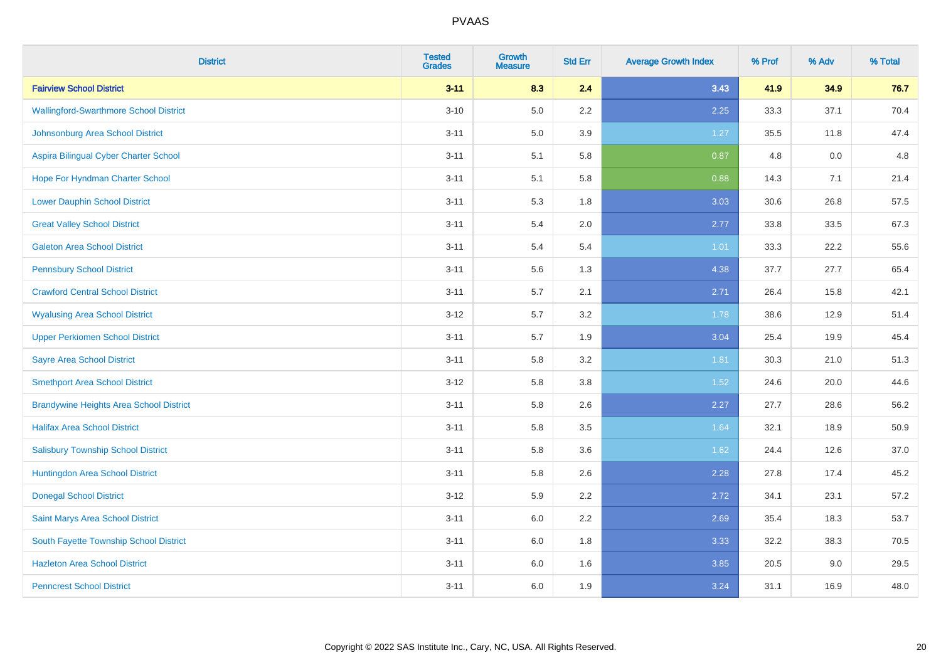| <b>District</b>                                | <b>Tested</b><br><b>Grades</b> | <b>Growth</b><br><b>Measure</b> | <b>Std Err</b> | <b>Average Growth Index</b> | % Prof | % Adv | % Total |
|------------------------------------------------|--------------------------------|---------------------------------|----------------|-----------------------------|--------|-------|---------|
| <b>Fairview School District</b>                | $3 - 11$                       | 8.3                             | 2.4            | 3.43                        | 41.9   | 34.9  | 76.7    |
| <b>Wallingford-Swarthmore School District</b>  | $3 - 10$                       | $5.0\,$                         | $2.2\,$        | 2.25                        | 33.3   | 37.1  | 70.4    |
| Johnsonburg Area School District               | $3 - 11$                       | 5.0                             | 3.9            | 1.27                        | 35.5   | 11.8  | 47.4    |
| Aspira Bilingual Cyber Charter School          | $3 - 11$                       | 5.1                             | 5.8            | 0.87                        | 4.8    | 0.0   | 4.8     |
| Hope For Hyndman Charter School                | $3 - 11$                       | 5.1                             | 5.8            | 0.88                        | 14.3   | 7.1   | 21.4    |
| <b>Lower Dauphin School District</b>           | $3 - 11$                       | 5.3                             | 1.8            | 3.03                        | 30.6   | 26.8  | 57.5    |
| <b>Great Valley School District</b>            | $3 - 11$                       | 5.4                             | 2.0            | 2.77                        | 33.8   | 33.5  | 67.3    |
| <b>Galeton Area School District</b>            | $3 - 11$                       | 5.4                             | 5.4            | 1.01                        | 33.3   | 22.2  | 55.6    |
| <b>Pennsbury School District</b>               | $3 - 11$                       | 5.6                             | 1.3            | 4.38                        | 37.7   | 27.7  | 65.4    |
| <b>Crawford Central School District</b>        | $3 - 11$                       | 5.7                             | 2.1            | 2.71                        | 26.4   | 15.8  | 42.1    |
| <b>Wyalusing Area School District</b>          | $3 - 12$                       | 5.7                             | 3.2            | 1.78                        | 38.6   | 12.9  | 51.4    |
| <b>Upper Perkiomen School District</b>         | $3 - 11$                       | 5.7                             | 1.9            | 3.04                        | 25.4   | 19.9  | 45.4    |
| <b>Sayre Area School District</b>              | $3 - 11$                       | 5.8                             | 3.2            | 1.81                        | 30.3   | 21.0  | 51.3    |
| <b>Smethport Area School District</b>          | $3 - 12$                       | 5.8                             | 3.8            | 1.52                        | 24.6   | 20.0  | 44.6    |
| <b>Brandywine Heights Area School District</b> | $3 - 11$                       | 5.8                             | 2.6            | 2.27                        | 27.7   | 28.6  | 56.2    |
| <b>Halifax Area School District</b>            | $3 - 11$                       | 5.8                             | 3.5            | 1.64                        | 32.1   | 18.9  | 50.9    |
| <b>Salisbury Township School District</b>      | $3 - 11$                       | 5.8                             | 3.6            | 1.62                        | 24.4   | 12.6  | 37.0    |
| Huntingdon Area School District                | $3 - 11$                       | 5.8                             | 2.6            | 2.28                        | 27.8   | 17.4  | 45.2    |
| <b>Donegal School District</b>                 | $3 - 12$                       | 5.9                             | 2.2            | 2.72                        | 34.1   | 23.1  | 57.2    |
| Saint Marys Area School District               | $3 - 11$                       | 6.0                             | 2.2            | 2.69                        | 35.4   | 18.3  | 53.7    |
| South Fayette Township School District         | $3 - 11$                       | 6.0                             | 1.8            | 3.33                        | 32.2   | 38.3  | 70.5    |
| <b>Hazleton Area School District</b>           | $3 - 11$                       | 6.0                             | 1.6            | 3.85                        | 20.5   | 9.0   | 29.5    |
| <b>Penncrest School District</b>               | $3 - 11$                       | 6.0                             | 1.9            | 3.24                        | 31.1   | 16.9  | 48.0    |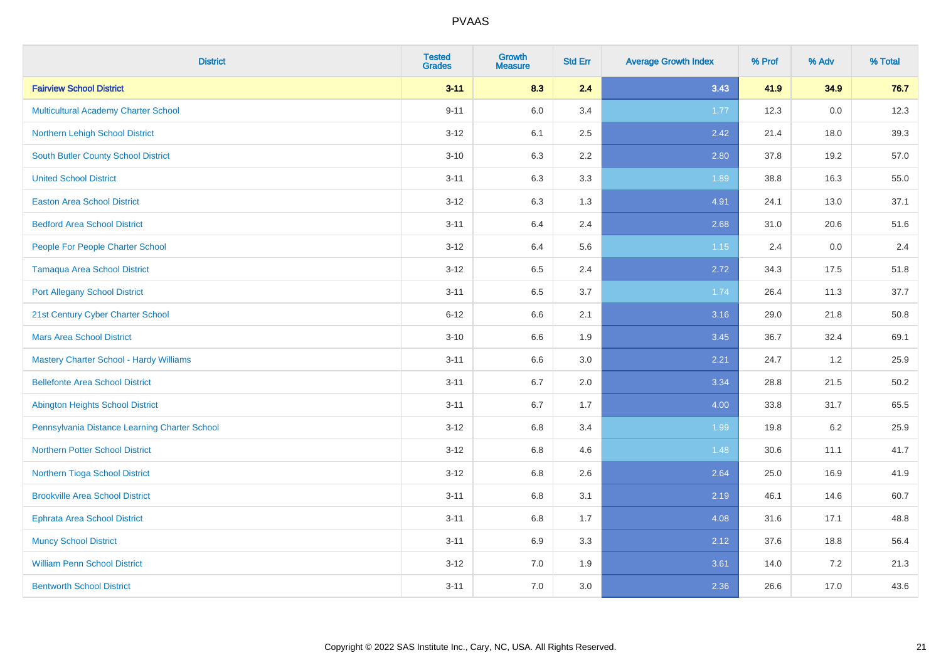| <b>District</b>                               | <b>Tested</b><br><b>Grades</b> | <b>Growth</b><br><b>Measure</b> | <b>Std Err</b> | <b>Average Growth Index</b> | % Prof | % Adv   | % Total |
|-----------------------------------------------|--------------------------------|---------------------------------|----------------|-----------------------------|--------|---------|---------|
| <b>Fairview School District</b>               | $3 - 11$                       | 8.3                             | 2.4            | 3.43                        | 41.9   | 34.9    | 76.7    |
| <b>Multicultural Academy Charter School</b>   | $9 - 11$                       | $6.0\,$                         | 3.4            | 1.77                        | 12.3   | 0.0     | 12.3    |
| Northern Lehigh School District               | $3 - 12$                       | 6.1                             | 2.5            | 2.42                        | 21.4   | 18.0    | 39.3    |
| South Butler County School District           | $3 - 10$                       | 6.3                             | 2.2            | 2.80                        | 37.8   | 19.2    | 57.0    |
| <b>United School District</b>                 | $3 - 11$                       | 6.3                             | 3.3            | 1.89                        | 38.8   | 16.3    | 55.0    |
| <b>Easton Area School District</b>            | $3 - 12$                       | 6.3                             | 1.3            | 4.91                        | 24.1   | 13.0    | 37.1    |
| <b>Bedford Area School District</b>           | $3 - 11$                       | 6.4                             | 2.4            | 2.68                        | 31.0   | 20.6    | 51.6    |
| People For People Charter School              | $3-12$                         | 6.4                             | 5.6            | 1.15                        | 2.4    | 0.0     | 2.4     |
| <b>Tamaqua Area School District</b>           | $3-12$                         | 6.5                             | 2.4            | 2.72                        | 34.3   | 17.5    | 51.8    |
| <b>Port Allegany School District</b>          | $3 - 11$                       | 6.5                             | 3.7            | 1.74                        | 26.4   | 11.3    | 37.7    |
| 21st Century Cyber Charter School             | $6 - 12$                       | 6.6                             | 2.1            | 3.16                        | 29.0   | 21.8    | 50.8    |
| <b>Mars Area School District</b>              | $3 - 10$                       | 6.6                             | 1.9            | 3.45                        | 36.7   | 32.4    | 69.1    |
| Mastery Charter School - Hardy Williams       | $3 - 11$                       | 6.6                             | 3.0            | 2.21                        | 24.7   | $1.2$   | 25.9    |
| <b>Bellefonte Area School District</b>        | $3 - 11$                       | 6.7                             | 2.0            | 3.34                        | 28.8   | 21.5    | 50.2    |
| <b>Abington Heights School District</b>       | $3 - 11$                       | 6.7                             | 1.7            | 4.00                        | 33.8   | 31.7    | 65.5    |
| Pennsylvania Distance Learning Charter School | $3 - 12$                       | $6.8\,$                         | 3.4            | 1.99                        | 19.8   | $6.2\,$ | 25.9    |
| <b>Northern Potter School District</b>        | $3 - 12$                       | 6.8                             | 4.6            | 1.48                        | 30.6   | 11.1    | 41.7    |
| Northern Tioga School District                | $3-12$                         | 6.8                             | 2.6            | 2.64                        | 25.0   | 16.9    | 41.9    |
| <b>Brookville Area School District</b>        | $3 - 11$                       | 6.8                             | 3.1            | 2.19                        | 46.1   | 14.6    | 60.7    |
| <b>Ephrata Area School District</b>           | $3 - 11$                       | 6.8                             | 1.7            | 4.08                        | 31.6   | 17.1    | 48.8    |
| <b>Muncy School District</b>                  | $3 - 11$                       | 6.9                             | 3.3            | 2.12                        | 37.6   | 18.8    | 56.4    |
| <b>William Penn School District</b>           | $3-12$                         | 7.0                             | 1.9            | 3.61                        | 14.0   | 7.2     | 21.3    |
| <b>Bentworth School District</b>              | $3 - 11$                       | 7.0                             | 3.0            | 2.36                        | 26.6   | 17.0    | 43.6    |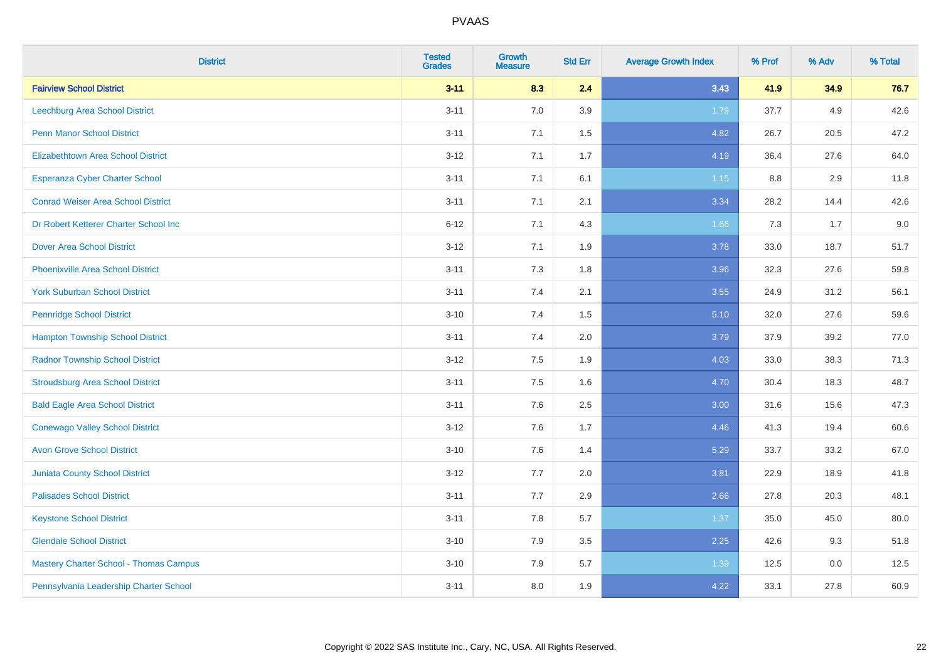| <b>District</b>                               | <b>Tested</b><br><b>Grades</b> | <b>Growth</b><br><b>Measure</b> | <b>Std Err</b> | <b>Average Growth Index</b> | % Prof | % Adv | % Total |
|-----------------------------------------------|--------------------------------|---------------------------------|----------------|-----------------------------|--------|-------|---------|
| <b>Fairview School District</b>               | $3 - 11$                       | 8.3                             | 2.4            | 3.43                        | 41.9   | 34.9  | 76.7    |
| Leechburg Area School District                | $3 - 11$                       | 7.0                             | 3.9            | 1.79                        | 37.7   | 4.9   | 42.6    |
| <b>Penn Manor School District</b>             | $3 - 11$                       | 7.1                             | 1.5            | 4.82                        | 26.7   | 20.5  | 47.2    |
| <b>Elizabethtown Area School District</b>     | $3 - 12$                       | 7.1                             | 1.7            | 4.19                        | 36.4   | 27.6  | 64.0    |
| <b>Esperanza Cyber Charter School</b>         | $3 - 11$                       | 7.1                             | 6.1            | 1.15                        | 8.8    | 2.9   | 11.8    |
| <b>Conrad Weiser Area School District</b>     | $3 - 11$                       | 7.1                             | 2.1            | 3.34                        | 28.2   | 14.4  | 42.6    |
| Dr Robert Ketterer Charter School Inc         | $6 - 12$                       | 7.1                             | 4.3            | 1.66                        | 7.3    | 1.7   | 9.0     |
| <b>Dover Area School District</b>             | $3 - 12$                       | 7.1                             | 1.9            | 3.78                        | 33.0   | 18.7  | 51.7    |
| <b>Phoenixville Area School District</b>      | $3 - 11$                       | 7.3                             | 1.8            | 3.96                        | 32.3   | 27.6  | 59.8    |
| <b>York Suburban School District</b>          | $3 - 11$                       | 7.4                             | 2.1            | 3.55                        | 24.9   | 31.2  | 56.1    |
| <b>Pennridge School District</b>              | $3 - 10$                       | 7.4                             | 1.5            | 5.10                        | 32.0   | 27.6  | 59.6    |
| <b>Hampton Township School District</b>       | $3 - 11$                       | 7.4                             | 2.0            | 3.79                        | 37.9   | 39.2  | 77.0    |
| <b>Radnor Township School District</b>        | $3 - 12$                       | 7.5                             | 1.9            | 4.03                        | 33.0   | 38.3  | 71.3    |
| <b>Stroudsburg Area School District</b>       | $3 - 11$                       | 7.5                             | 1.6            | 4.70                        | 30.4   | 18.3  | 48.7    |
| <b>Bald Eagle Area School District</b>        | $3 - 11$                       | 7.6                             | 2.5            | 3.00                        | 31.6   | 15.6  | 47.3    |
| <b>Conewago Valley School District</b>        | $3 - 12$                       | 7.6                             | 1.7            | 4.46                        | 41.3   | 19.4  | 60.6    |
| <b>Avon Grove School District</b>             | $3 - 10$                       | 7.6                             | 1.4            | 5.29                        | 33.7   | 33.2  | 67.0    |
| Juniata County School District                | $3 - 12$                       | 7.7                             | 2.0            | 3.81                        | 22.9   | 18.9  | 41.8    |
| <b>Palisades School District</b>              | $3 - 11$                       | 7.7                             | 2.9            | 2.66                        | 27.8   | 20.3  | 48.1    |
| <b>Keystone School District</b>               | $3 - 11$                       | 7.8                             | 5.7            | 1.37                        | 35.0   | 45.0  | 80.0    |
| <b>Glendale School District</b>               | $3 - 10$                       | 7.9                             | 3.5            | 2.25                        | 42.6   | 9.3   | 51.8    |
| <b>Mastery Charter School - Thomas Campus</b> | $3 - 10$                       | 7.9                             | 5.7            | 1.39                        | 12.5   | 0.0   | 12.5    |
| Pennsylvania Leadership Charter School        | $3 - 11$                       | 8.0                             | 1.9            | 4.22                        | 33.1   | 27.8  | 60.9    |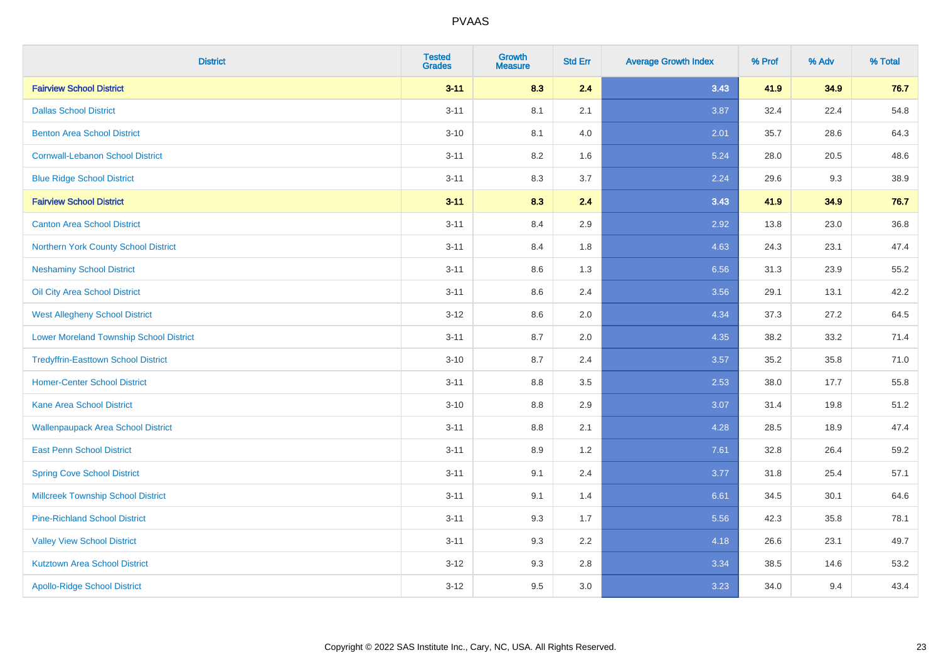| <b>District</b>                                | <b>Tested</b><br><b>Grades</b> | <b>Growth</b><br><b>Measure</b> | <b>Std Err</b> | <b>Average Growth Index</b> | % Prof | % Adv | % Total |
|------------------------------------------------|--------------------------------|---------------------------------|----------------|-----------------------------|--------|-------|---------|
| <b>Fairview School District</b>                | $3 - 11$                       | 8.3                             | 2.4            | 3.43                        | 41.9   | 34.9  | 76.7    |
| <b>Dallas School District</b>                  | $3 - 11$                       | 8.1                             | 2.1            | 3.87                        | 32.4   | 22.4  | 54.8    |
| <b>Benton Area School District</b>             | $3 - 10$                       | 8.1                             | 4.0            | 2.01                        | 35.7   | 28.6  | 64.3    |
| <b>Cornwall-Lebanon School District</b>        | $3 - 11$                       | 8.2                             | 1.6            | 5.24                        | 28.0   | 20.5  | 48.6    |
| <b>Blue Ridge School District</b>              | $3 - 11$                       | 8.3                             | 3.7            | 2.24                        | 29.6   | 9.3   | 38.9    |
| <b>Fairview School District</b>                | $3 - 11$                       | 8.3                             | 2.4            | 3.43                        | 41.9   | 34.9  | 76.7    |
| <b>Canton Area School District</b>             | $3 - 11$                       | 8.4                             | 2.9            | 2.92                        | 13.8   | 23.0  | 36.8    |
| Northern York County School District           | $3 - 11$                       | 8.4                             | 1.8            | 4.63                        | 24.3   | 23.1  | 47.4    |
| <b>Neshaminy School District</b>               | $3 - 11$                       | 8.6                             | 1.3            | 6.56                        | 31.3   | 23.9  | 55.2    |
| Oil City Area School District                  | $3 - 11$                       | 8.6                             | 2.4            | 3.56                        | 29.1   | 13.1  | 42.2    |
| <b>West Allegheny School District</b>          | $3 - 12$                       | 8.6                             | 2.0            | 4.34                        | 37.3   | 27.2  | 64.5    |
| <b>Lower Moreland Township School District</b> | $3 - 11$                       | 8.7                             | 2.0            | 4.35                        | 38.2   | 33.2  | 71.4    |
| <b>Tredyffrin-Easttown School District</b>     | $3 - 10$                       | 8.7                             | 2.4            | 3.57                        | 35.2   | 35.8  | 71.0    |
| <b>Homer-Center School District</b>            | $3 - 11$                       | 8.8                             | 3.5            | 2.53                        | 38.0   | 17.7  | 55.8    |
| <b>Kane Area School District</b>               | $3 - 10$                       | $8.8\,$                         | 2.9            | 3.07                        | 31.4   | 19.8  | 51.2    |
| <b>Wallenpaupack Area School District</b>      | $3 - 11$                       | $8.8\,$                         | 2.1            | 4.28                        | 28.5   | 18.9  | 47.4    |
| <b>East Penn School District</b>               | $3 - 11$                       | 8.9                             | 1.2            | 7.61                        | 32.8   | 26.4  | 59.2    |
| <b>Spring Cove School District</b>             | $3 - 11$                       | 9.1                             | 2.4            | 3.77                        | 31.8   | 25.4  | 57.1    |
| <b>Millcreek Township School District</b>      | $3 - 11$                       | 9.1                             | 1.4            | 6.61                        | 34.5   | 30.1  | 64.6    |
| <b>Pine-Richland School District</b>           | $3 - 11$                       | 9.3                             | 1.7            | 5.56                        | 42.3   | 35.8  | 78.1    |
| <b>Valley View School District</b>             | $3 - 11$                       | 9.3                             | 2.2            | 4.18                        | 26.6   | 23.1  | 49.7    |
| <b>Kutztown Area School District</b>           | $3 - 12$                       | 9.3                             | 2.8            | 3.34                        | 38.5   | 14.6  | 53.2    |
| <b>Apollo-Ridge School District</b>            | $3-12$                         | 9.5                             | 3.0            | 3.23                        | 34.0   | 9.4   | 43.4    |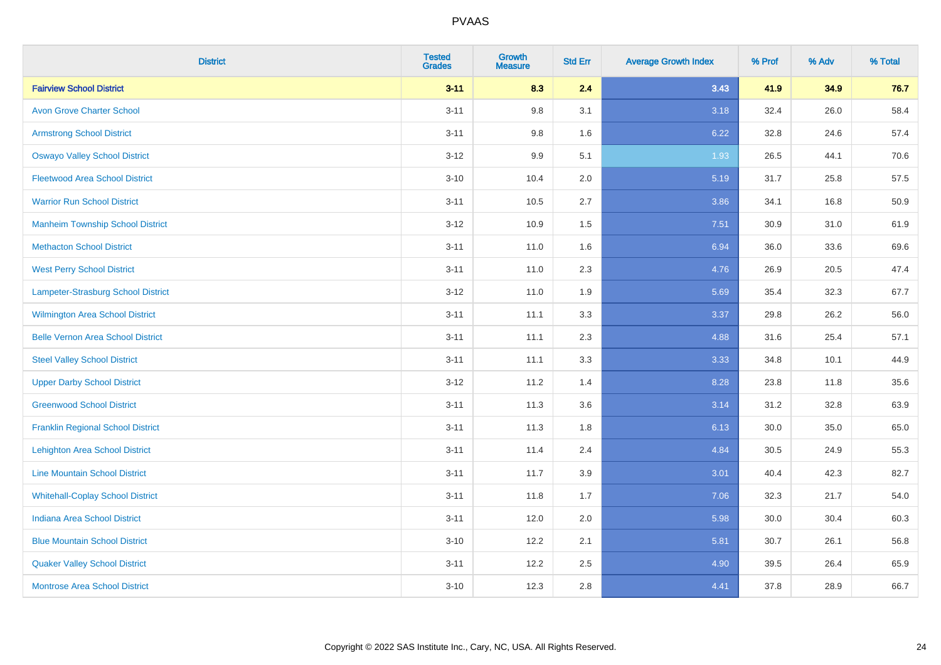| <b>District</b>                          | <b>Tested</b><br><b>Grades</b> | <b>Growth</b><br><b>Measure</b> | <b>Std Err</b> | <b>Average Growth Index</b> | % Prof | % Adv | % Total |
|------------------------------------------|--------------------------------|---------------------------------|----------------|-----------------------------|--------|-------|---------|
| <b>Fairview School District</b>          | $3 - 11$                       | 8.3                             | 2.4            | 3.43                        | 41.9   | 34.9  | 76.7    |
| <b>Avon Grove Charter School</b>         | $3 - 11$                       | 9.8                             | 3.1            | 3.18                        | 32.4   | 26.0  | 58.4    |
| <b>Armstrong School District</b>         | $3 - 11$                       | 9.8                             | 1.6            | 6.22                        | 32.8   | 24.6  | 57.4    |
| <b>Oswayo Valley School District</b>     | $3 - 12$                       | 9.9                             | 5.1            | 1.93                        | 26.5   | 44.1  | 70.6    |
| <b>Fleetwood Area School District</b>    | $3 - 10$                       | 10.4                            | 2.0            | 5.19                        | 31.7   | 25.8  | 57.5    |
| <b>Warrior Run School District</b>       | $3 - 11$                       | 10.5                            | 2.7            | 3.86                        | 34.1   | 16.8  | 50.9    |
| <b>Manheim Township School District</b>  | $3 - 12$                       | 10.9                            | 1.5            | 7.51                        | 30.9   | 31.0  | 61.9    |
| <b>Methacton School District</b>         | $3 - 11$                       | 11.0                            | 1.6            | 6.94                        | 36.0   | 33.6  | 69.6    |
| <b>West Perry School District</b>        | $3 - 11$                       | 11.0                            | 2.3            | 4.76                        | 26.9   | 20.5  | 47.4    |
| Lampeter-Strasburg School District       | $3 - 12$                       | 11.0                            | 1.9            | 5.69                        | 35.4   | 32.3  | 67.7    |
| Wilmington Area School District          | $3 - 11$                       | 11.1                            | 3.3            | 3.37                        | 29.8   | 26.2  | 56.0    |
| <b>Belle Vernon Area School District</b> | $3 - 11$                       | 11.1                            | 2.3            | 4.88                        | 31.6   | 25.4  | 57.1    |
| <b>Steel Valley School District</b>      | $3 - 11$                       | 11.1                            | 3.3            | 3.33                        | 34.8   | 10.1  | 44.9    |
| <b>Upper Darby School District</b>       | $3 - 12$                       | 11.2                            | 1.4            | 8.28                        | 23.8   | 11.8  | 35.6    |
| <b>Greenwood School District</b>         | $3 - 11$                       | 11.3                            | 3.6            | 3.14                        | 31.2   | 32.8  | 63.9    |
| <b>Franklin Regional School District</b> | $3 - 11$                       | 11.3                            | 1.8            | 6.13                        | 30.0   | 35.0  | 65.0    |
| <b>Lehighton Area School District</b>    | $3 - 11$                       | 11.4                            | 2.4            | 4.84                        | 30.5   | 24.9  | 55.3    |
| <b>Line Mountain School District</b>     | $3 - 11$                       | 11.7                            | 3.9            | 3.01                        | 40.4   | 42.3  | 82.7    |
| <b>Whitehall-Coplay School District</b>  | $3 - 11$                       | 11.8                            | 1.7            | 7.06                        | 32.3   | 21.7  | 54.0    |
| <b>Indiana Area School District</b>      | $3 - 11$                       | 12.0                            | 2.0            | 5.98                        | 30.0   | 30.4  | 60.3    |
| <b>Blue Mountain School District</b>     | $3 - 10$                       | 12.2                            | 2.1            | 5.81                        | 30.7   | 26.1  | 56.8    |
| <b>Quaker Valley School District</b>     | $3 - 11$                       | 12.2                            | 2.5            | 4.90                        | 39.5   | 26.4  | 65.9    |
| <b>Montrose Area School District</b>     | $3 - 10$                       | 12.3                            | 2.8            | 4.41                        | 37.8   | 28.9  | 66.7    |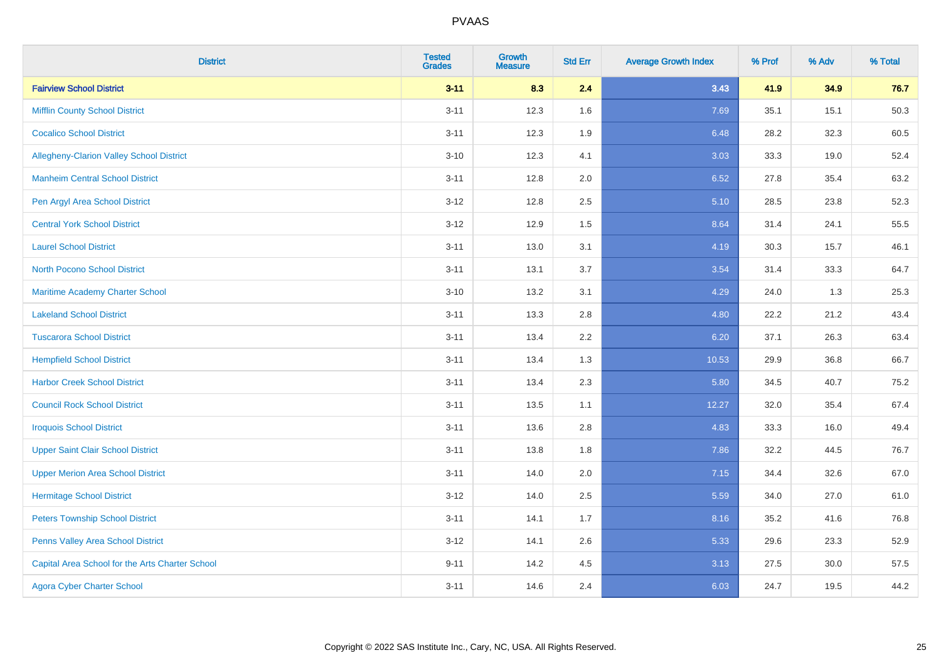| <b>District</b>                                 | <b>Tested</b><br><b>Grades</b> | Growth<br><b>Measure</b> | <b>Std Err</b> | <b>Average Growth Index</b> | % Prof | % Adv | % Total |
|-------------------------------------------------|--------------------------------|--------------------------|----------------|-----------------------------|--------|-------|---------|
| <b>Fairview School District</b>                 | $3 - 11$                       | 8.3                      | 2.4            | 3.43                        | 41.9   | 34.9  | 76.7    |
| <b>Mifflin County School District</b>           | $3 - 11$                       | 12.3                     | 1.6            | 7.69                        | 35.1   | 15.1  | 50.3    |
| <b>Cocalico School District</b>                 | $3 - 11$                       | 12.3                     | 1.9            | 6.48                        | 28.2   | 32.3  | 60.5    |
| Allegheny-Clarion Valley School District        | $3 - 10$                       | 12.3                     | 4.1            | 3.03                        | 33.3   | 19.0  | 52.4    |
| <b>Manheim Central School District</b>          | $3 - 11$                       | 12.8                     | 2.0            | 6.52                        | 27.8   | 35.4  | 63.2    |
| Pen Argyl Area School District                  | $3 - 12$                       | 12.8                     | 2.5            | 5.10                        | 28.5   | 23.8  | 52.3    |
| <b>Central York School District</b>             | $3-12$                         | 12.9                     | 1.5            | 8.64                        | 31.4   | 24.1  | 55.5    |
| <b>Laurel School District</b>                   | $3 - 11$                       | 13.0                     | 3.1            | 4.19                        | 30.3   | 15.7  | 46.1    |
| North Pocono School District                    | $3 - 11$                       | 13.1                     | 3.7            | 3.54                        | 31.4   | 33.3  | 64.7    |
| <b>Maritime Academy Charter School</b>          | $3 - 10$                       | 13.2                     | 3.1            | 4.29                        | 24.0   | 1.3   | 25.3    |
| <b>Lakeland School District</b>                 | $3 - 11$                       | 13.3                     | 2.8            | 4.80                        | 22.2   | 21.2  | 43.4    |
| <b>Tuscarora School District</b>                | $3 - 11$                       | 13.4                     | 2.2            | 6.20                        | 37.1   | 26.3  | 63.4    |
| <b>Hempfield School District</b>                | $3 - 11$                       | 13.4                     | 1.3            | 10.53                       | 29.9   | 36.8  | 66.7    |
| <b>Harbor Creek School District</b>             | $3 - 11$                       | 13.4                     | 2.3            | 5.80                        | 34.5   | 40.7  | 75.2    |
| <b>Council Rock School District</b>             | $3 - 11$                       | 13.5                     | 1.1            | 12.27                       | 32.0   | 35.4  | 67.4    |
| <b>Iroquois School District</b>                 | $3 - 11$                       | 13.6                     | 2.8            | 4.83                        | 33.3   | 16.0  | 49.4    |
| <b>Upper Saint Clair School District</b>        | $3 - 11$                       | 13.8                     | 1.8            | 7.86                        | 32.2   | 44.5  | 76.7    |
| <b>Upper Merion Area School District</b>        | $3 - 11$                       | 14.0                     | 2.0            | 7.15                        | 34.4   | 32.6  | 67.0    |
| <b>Hermitage School District</b>                | $3 - 12$                       | 14.0                     | 2.5            | 5.59                        | 34.0   | 27.0  | 61.0    |
| <b>Peters Township School District</b>          | $3 - 11$                       | 14.1                     | 1.7            | 8.16                        | 35.2   | 41.6  | 76.8    |
| Penns Valley Area School District               | $3 - 12$                       | 14.1                     | 2.6            | 5.33                        | 29.6   | 23.3  | 52.9    |
| Capital Area School for the Arts Charter School | $9 - 11$                       | 14.2                     | 4.5            | 3.13                        | 27.5   | 30.0  | 57.5    |
| <b>Agora Cyber Charter School</b>               | $3 - 11$                       | 14.6                     | 2.4            | 6.03                        | 24.7   | 19.5  | 44.2    |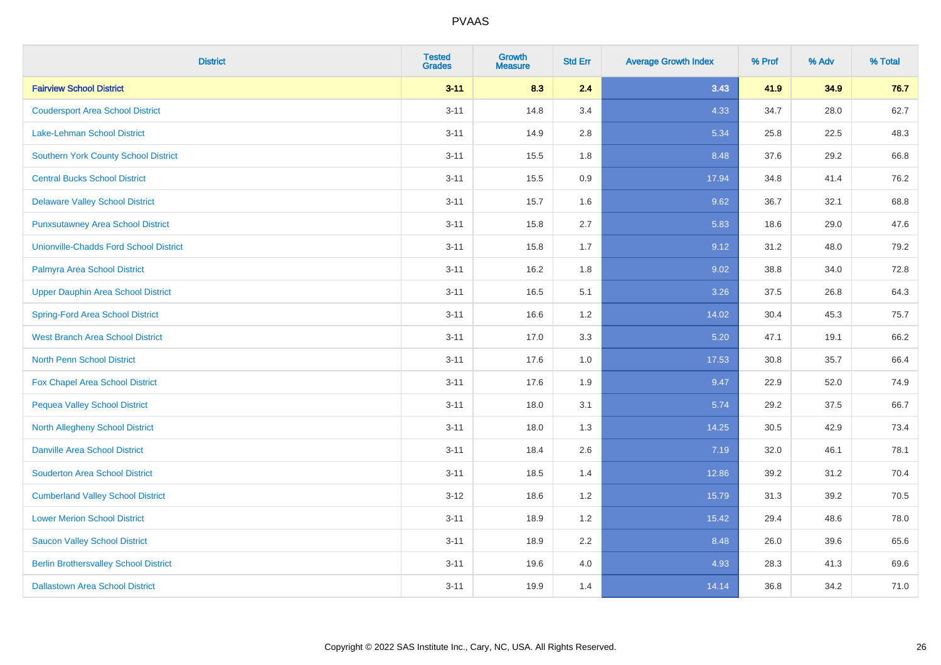| <b>District</b>                               | <b>Tested</b><br><b>Grades</b> | <b>Growth</b><br><b>Measure</b> | <b>Std Err</b> | <b>Average Growth Index</b> | % Prof | % Adv | % Total |
|-----------------------------------------------|--------------------------------|---------------------------------|----------------|-----------------------------|--------|-------|---------|
| <b>Fairview School District</b>               | $3 - 11$                       | 8.3                             | 2.4            | 3.43                        | 41.9   | 34.9  | 76.7    |
| <b>Coudersport Area School District</b>       | $3 - 11$                       | 14.8                            | 3.4            | 4.33                        | 34.7   | 28.0  | 62.7    |
| Lake-Lehman School District                   | $3 - 11$                       | 14.9                            | 2.8            | 5.34                        | 25.8   | 22.5  | 48.3    |
| <b>Southern York County School District</b>   | $3 - 11$                       | 15.5                            | 1.8            | 8.48                        | 37.6   | 29.2  | 66.8    |
| <b>Central Bucks School District</b>          | $3 - 11$                       | 15.5                            | 0.9            | 17.94                       | 34.8   | 41.4  | 76.2    |
| <b>Delaware Valley School District</b>        | $3 - 11$                       | 15.7                            | 1.6            | 9.62                        | 36.7   | 32.1  | 68.8    |
| <b>Punxsutawney Area School District</b>      | $3 - 11$                       | 15.8                            | 2.7            | 5.83                        | 18.6   | 29.0  | 47.6    |
| <b>Unionville-Chadds Ford School District</b> | $3 - 11$                       | 15.8                            | 1.7            | 9.12                        | 31.2   | 48.0  | 79.2    |
| Palmyra Area School District                  | $3 - 11$                       | 16.2                            | 1.8            | 9.02                        | 38.8   | 34.0  | 72.8    |
| <b>Upper Dauphin Area School District</b>     | $3 - 11$                       | 16.5                            | 5.1            | 3.26                        | 37.5   | 26.8  | 64.3    |
| <b>Spring-Ford Area School District</b>       | $3 - 11$                       | 16.6                            | 1.2            | 14.02                       | 30.4   | 45.3  | 75.7    |
| <b>West Branch Area School District</b>       | $3 - 11$                       | 17.0                            | 3.3            | 5.20                        | 47.1   | 19.1  | 66.2    |
| North Penn School District                    | $3 - 11$                       | 17.6                            | 1.0            | 17.53                       | 30.8   | 35.7  | 66.4    |
| <b>Fox Chapel Area School District</b>        | $3 - 11$                       | 17.6                            | 1.9            | 9.47                        | 22.9   | 52.0  | 74.9    |
| <b>Pequea Valley School District</b>          | $3 - 11$                       | 18.0                            | 3.1            | 5.74                        | 29.2   | 37.5  | 66.7    |
| North Allegheny School District               | $3 - 11$                       | 18.0                            | 1.3            | 14.25                       | 30.5   | 42.9  | 73.4    |
| <b>Danville Area School District</b>          | $3 - 11$                       | 18.4                            | 2.6            | 7.19                        | 32.0   | 46.1  | 78.1    |
| <b>Souderton Area School District</b>         | $3 - 11$                       | 18.5                            | 1.4            | 12.86                       | 39.2   | 31.2  | 70.4    |
| <b>Cumberland Valley School District</b>      | $3 - 12$                       | 18.6                            | 1.2            | 15.79                       | 31.3   | 39.2  | 70.5    |
| <b>Lower Merion School District</b>           | $3 - 11$                       | 18.9                            | 1.2            | 15.42                       | 29.4   | 48.6  | 78.0    |
| <b>Saucon Valley School District</b>          | $3 - 11$                       | 18.9                            | 2.2            | 8.48                        | 26.0   | 39.6  | 65.6    |
| <b>Berlin Brothersvalley School District</b>  | $3 - 11$                       | 19.6                            | 4.0            | 4.93                        | 28.3   | 41.3  | 69.6    |
| <b>Dallastown Area School District</b>        | $3 - 11$                       | 19.9                            | 1.4            | 14.14                       | 36.8   | 34.2  | 71.0    |